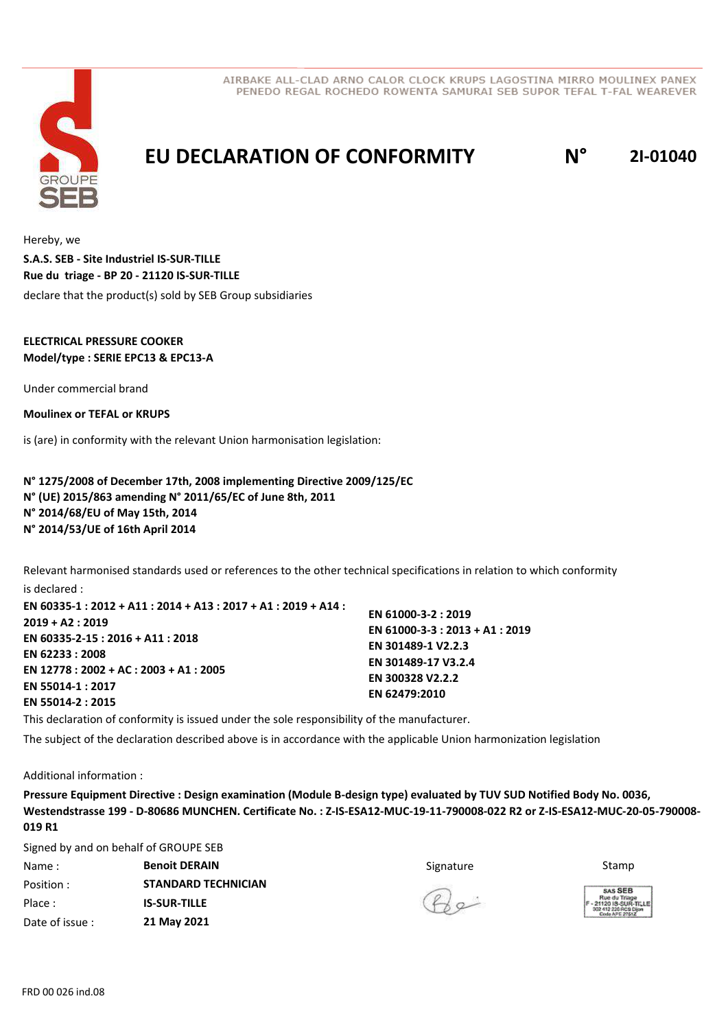



## **EU DECLARATION OF CONFORMITY N° 2I-01040**

Hereby, we declare that the product(s) sold by SEB Group subsidiaries **S.A.S. SEB - Site Industriel IS-SUR-TILLE Rue du triage - BP 20 - 21120 IS-SUR-TILLE**

### **ELECTRICAL PRESSURE COOKER Model/type : SERIE EPC13 & EPC13-A**

Under commercial brand

**Moulinex or TEFAL or KRUPS**

is (are) in conformity with the relevant Union harmonisation legislation:

**N° 1275/2008 of December 17th, 2008 implementing Directive 2009/125/EC N° (UE) 2015/863 amending N° 2011/65/EC of June 8th, 2011 N° 2014/68/EU of May 15th, 2014 N° 2014/53/UE of 16th April 2014**

Relevant harmonised standards used or references to the other technical specifications in relation to which conformity is declared :

**EN 61000-3-2 : 2019 EN 61000-3-3 : 2013 + A1 : 2019 EN 301489-1 V2.2.3 EN 301489-17 V3.2.4 EN 300328 V2.2.2 EN 62479:2010 EN 60335-1 : 2012 + A11 : 2014 + A13 : 2017 + A1 : 2019 + A14 : 2019 + A2 : 2019 EN 60335-2-15 : 2016 + A11 : 2018 EN 62233 : 2008 EN 12778 : 2002 + AC : 2003 + A1 : 2005 EN 55014-1 : 2017 EN 55014-2 : 2015**

This declaration of conformity is issued under the sole responsibility of the manufacturer.

The subject of the declaration described above is in accordance with the applicable Union harmonization legislation

Additional information :

**Pressure Equipment Directive : Design examination (Module B-design type) evaluated by TUV SUD Notified Body No. 0036, Westendstrasse 199 - D-80686 MUNCHEN. Certificate No. : Z-IS-ESA12-MUC-19-11-790008-022 R2 or Z-IS-ESA12-MUC-20-05-790008- 019 R1**

Signed by and on behalf of GROUPE SEB

| Name:          | <b>Benoit DERAIN</b>       | Signature |
|----------------|----------------------------|-----------|
| Position:      | <b>STANDARD TECHNICIAN</b> |           |
| Place:         | <b>IS-SUR-TILLE</b>        | $\star$   |
| Date of issue: | 21 May 2021                |           |

Stamp



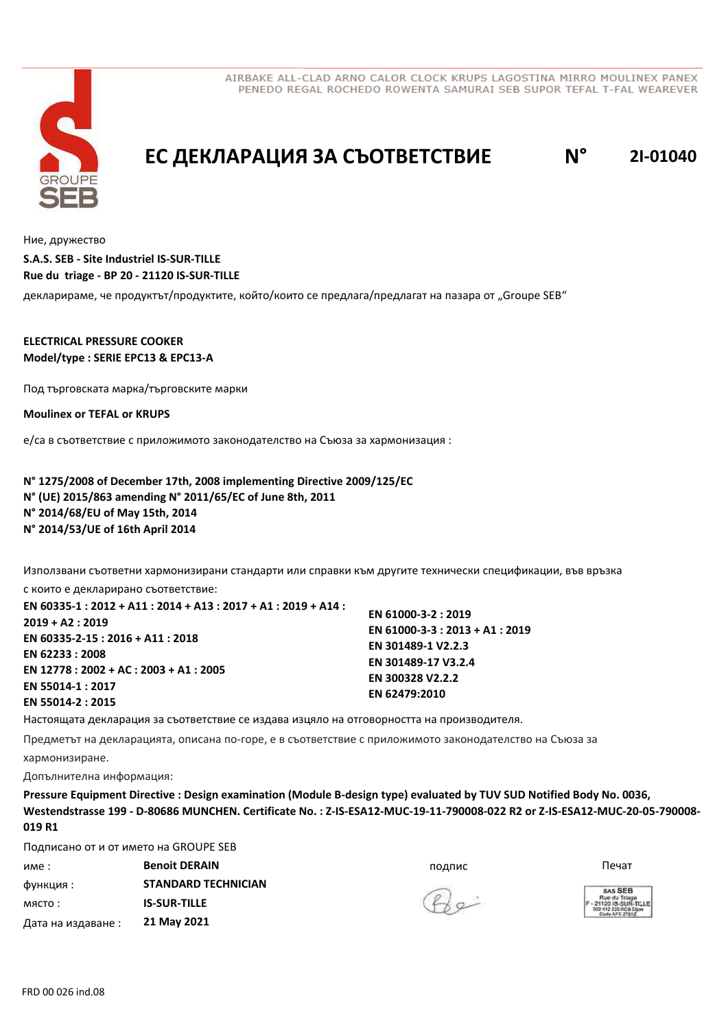



# **EC ДЕКЛАРАЦИЯ ЗА СЪОТВЕТСТВИЕ N° 2I-01040**

Ние, дружество

декларираме, че продуктът/продуктите, който/които се предлага/предлагат на пазара от "Groupe SEB" **S.A.S. SEB - Site Industriel IS-SUR-TILLE Rue du triage - BP 20 - 21120 IS-SUR-TILLE**

**ELECTRICAL PRESSURE COOKER Model/type : SERIE EPC13 & EPC13-A**

Под търговската марка/търговските марки

**Moulinex or TEFAL or KRUPS**

е/са в съответствие с приложимото законодателство на Съюза за хармонизация :

**N° 1275/2008 of December 17th, 2008 implementing Directive 2009/125/EC N° (UE) 2015/863 amending N° 2011/65/EC of June 8th, 2011 N° 2014/68/EU of May 15th, 2014 N° 2014/53/UE of 16th April 2014**

Използвани съответни хармонизирани стандарти или справки към другите технически спецификации, във връзка

с които е декларирано съответствие: **EN 60335-1 : 2012 + A11 : 2014 + A13 : 2017 + A1 : 2019 + A14 : 2019 + A2 : 2019 EN 60335-2-15 : 2016 + A11 : 2018 EN 62233 : 2008 EN 12778 : 2002 + AC : 2003 + A1 : 2005 EN 55014-1 : 2017 EN 55014-2 : 2015**

**EN 61000-3-2 : 2019 EN 61000-3-3 : 2013 + A1 : 2019 EN 301489-1 V2.2.3 EN 301489-17 V3.2.4 EN 300328 V2.2.2 EN 62479:2010**

Настоящата декларация за съответствие се издава изцяло на отговорността на производителя.

Предметът на декларацията, описана по-горе, е в съответствие с приложимото законодателство на Съюза за хармонизиране.

Допълнителна информация:

**Pressure Equipment Directive : Design examination (Module B-design type) evaluated by TUV SUD Notified Body No. 0036, Westendstrasse 199 - D-80686 MUNCHEN. Certificate No. : Z-IS-ESA12-MUC-19-11-790008-022 R2 or Z-IS-ESA12-MUC-20-05-790008- 019 R1**

Подписано от и от името на GROUPE SEB

| име                | <b>Benoit DERAIN</b>       | подпис       | Печат                                                 |
|--------------------|----------------------------|--------------|-------------------------------------------------------|
| функция :          | <b>STANDARD TECHNICIAN</b> |              | <b>SAS SEB</b>                                        |
| място:             | <b>IS-SUR-TILLE</b>        | $Q_{\alpha}$ | Rue du Triag<br>$-2112018 - SUB$<br>302 412 226 RCS I |
| Дата на издаване : | 21 May 2021                |              | Code APE 2761                                         |

 $Q_{\alpha}$ 

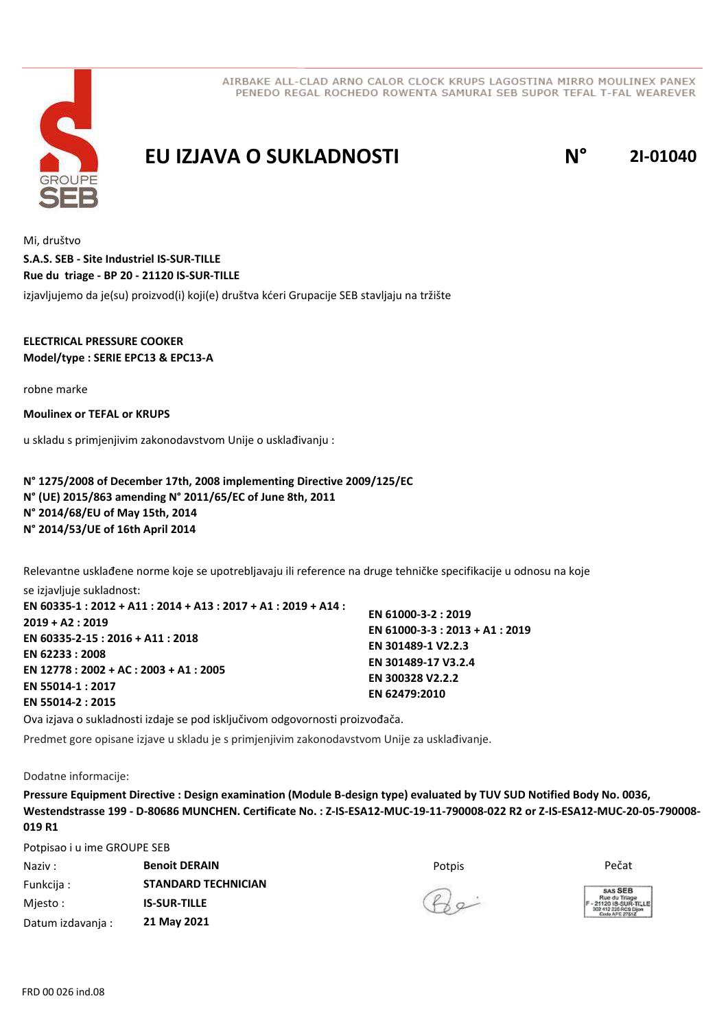

**EU IZJAVA O SUKLADNOSTI N° 2I-01040**

Mi, društvo izjavljujemo da je(su) proizvod(i) koji(e) društva kćeri Grupacije SEB stavljaju na tržište **S.A.S. SEB - Site Industriel IS-SUR-TILLE Rue du triage - BP 20 - 21120 IS-SUR-TILLE**

**ELECTRICAL PRESSURE COOKER Model/type : SERIE EPC13 & EPC13-A**

robne marke

**Moulinex or TEFAL or KRUPS**

u skladu s primjenjivim zakonodavstvom Unije o usklađivanju :

**N° 1275/2008 of December 17th, 2008 implementing Directive 2009/125/EC N° (UE) 2015/863 amending N° 2011/65/EC of June 8th, 2011 N° 2014/68/EU of May 15th, 2014 N° 2014/53/UE of 16th April 2014**

Relevantne usklađene norme koje se upotrebljavaju ili reference na druge tehničke specifikacije u odnosu na koje se izjavljuje sukladnost:

**EN 60335-1 : 2012 + A11 : 2014 + A13 : 2017 + A1 : 2019 + A14 : 2019 + A2 : 2019 EN 60335-2-15 : 2016 + A11 : 2018 EN 62233 : 2008 EN 12778 : 2002 + AC : 2003 + A1 : 2005 EN 55014-1 : 2017 EN 55014-2 : 2015 EN 61000-3-2 : 2019 EN 61000-3-3 : 2013 + A1 : 2019 EN 301489-1 V2.2.3 EN 301489-17 V3.2.4 EN 300328 V2.2.2 EN 62479:2010**

Ova izjava o sukladnosti izdaje se pod isključivom odgovornosti proizvođača.

Predmet gore opisane izjave u skladu je s primjenjivim zakonodavstvom Unije za usklađivanje.

Dodatne informacije:

**Pressure Equipment Directive : Design examination (Module B-design type) evaluated by TUV SUD Notified Body No. 0036, Westendstrasse 199 - D-80686 MUNCHEN. Certificate No. : Z-IS-ESA12-MUC-19-11-790008-022 R2 or Z-IS-ESA12-MUC-20-05-790008- 019 R1**

Potpisao i u ime GROUPE SEB

Naziv : Potpis **Benoit DERAIN** Pečat Funkcija : Mjesto : Datum izdavanja : **STANDARD TECHNICIAN IS-SUR-TILLE 21 May 2021**

 $Q_{\alpha}$ 

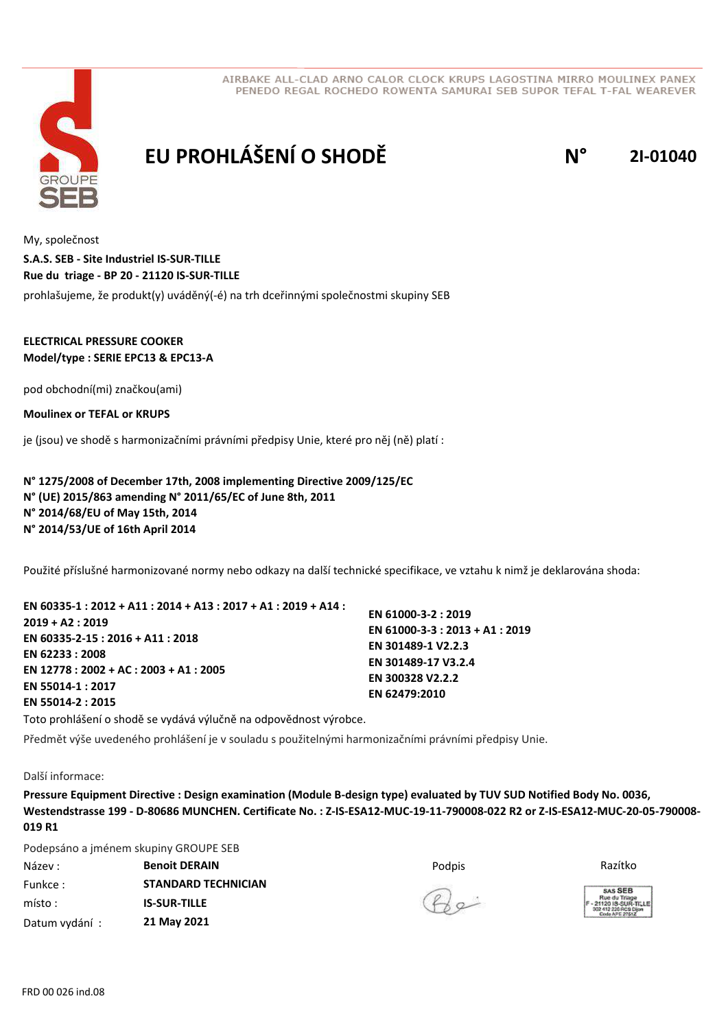



# **EU PROHLÁŠENÍ O SHODĚ N° 2I-01040**

My, společnost prohlašujeme, že produkt(y) uváděný(-é) na trh dceřinnými společnostmi skupiny SEB **S.A.S. SEB - Site Industriel IS-SUR-TILLE Rue du triage - BP 20 - 21120 IS-SUR-TILLE**

### **ELECTRICAL PRESSURE COOKER Model/type : SERIE EPC13 & EPC13-A**

pod obchodní(mi) značkou(ami)

**Moulinex or TEFAL or KRUPS**

je (jsou) ve shodě s harmonizačními právními předpisy Unie, které pro něj (ně) platí :

**N° 1275/2008 of December 17th, 2008 implementing Directive 2009/125/EC N° (UE) 2015/863 amending N° 2011/65/EC of June 8th, 2011 N° 2014/68/EU of May 15th, 2014 N° 2014/53/UE of 16th April 2014**

Použité příslušné harmonizované normy nebo odkazy na další technické specifikace, ve vztahu k nimž je deklarována shoda:

| EN 60335-1 : 2012 + A11 : 2014 + A13 : 2017 + A1 : 2019 + A14 : |                                 |
|-----------------------------------------------------------------|---------------------------------|
|                                                                 | EN 61000-3-2: 2019              |
| $2019 + A2: 2019$                                               | EN 61000-3-3 : 2013 + A1 : 2019 |
| EN 60335-2-15 : 2016 + A11 : 2018                               |                                 |
| EN 62233:2008                                                   | EN 301489-1 V2.2.3              |
|                                                                 | EN 301489-17 V3.2.4             |
| EN 12778 : 2002 + AC : 2003 + A1 : 2005                         | EN 300328 V2.2.2                |
| EN 55014-1:2017                                                 |                                 |
| EN 55014-2 : 2015                                               | EN 62479:2010                   |
|                                                                 |                                 |

Toto prohlášení o shodě se vydává výlučně na odpovědnost výrobce.

Předmět výše uvedeného prohlášení je v souladu s použitelnými harmonizačními právními předpisy Unie.

Další informace:

**Pressure Equipment Directive : Design examination (Module B-design type) evaluated by TUV SUD Notified Body No. 0036, Westendstrasse 199 - D-80686 MUNCHEN. Certificate No. : Z-IS-ESA12-MUC-19-11-790008-022 R2 or Z-IS-ESA12-MUC-20-05-790008- 019 R1**

Podepsáno a jménem skupiny GROUPE SEB

Název : Podpis **Benoit DERAIN** Razítko Funkce : místo : Datum vydání : **STANDARD TECHNICIAN IS-SUR-TILLE 21 May 2021**

 $Q_{\alpha}$ 

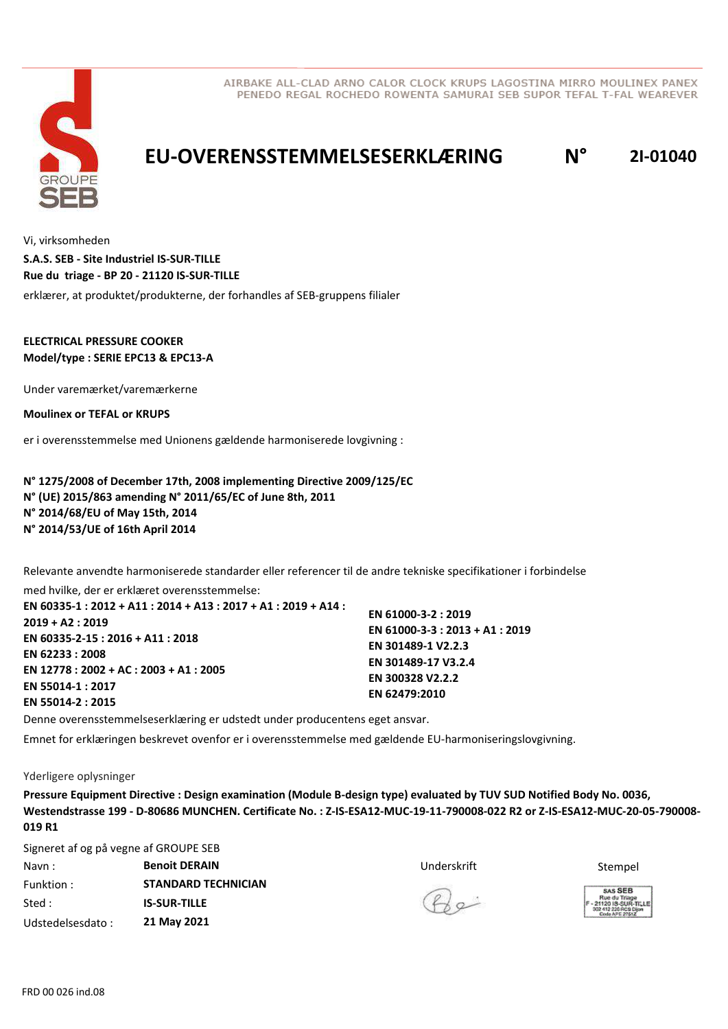

# **EU-OVERENSSTEMMELSESERKLÆRING N° 2I-01040**

Vi, virksomheden erklærer, at produktet/produkterne, der forhandles af SEB-gruppens filialer **S.A.S. SEB - Site Industriel IS-SUR-TILLE Rue du triage - BP 20 - 21120 IS-SUR-TILLE**

### **ELECTRICAL PRESSURE COOKER Model/type : SERIE EPC13 & EPC13-A**

Under varemærket/varemærkerne

**Moulinex or TEFAL or KRUPS**

er i overensstemmelse med Unionens gældende harmoniserede lovgivning :

**N° 1275/2008 of December 17th, 2008 implementing Directive 2009/125/EC N° (UE) 2015/863 amending N° 2011/65/EC of June 8th, 2011 N° 2014/68/EU of May 15th, 2014 N° 2014/53/UE of 16th April 2014**

Relevante anvendte harmoniserede standarder eller referencer til de andre tekniske specifikationer i forbindelse med hvilke, der er erklæret overensstemmelse:

**EN 60335-1 : 2012 + A11 : 2014 + A13 : 2017 + A1 : 2019 + A14 : 2019 + A2 : 2019 EN 60335-2-15 : 2016 + A11 : 2018 EN 62233 : 2008 EN 12778 : 2002 + AC : 2003 + A1 : 2005 EN 55014-1 : 2017 EN 55014-2 : 2015 EN 61000-3-2 : 2019 EN 61000-3-3 : 2013 + A1 : 2019**

**EN 301489-1 V2.2.3 EN 301489-17 V3.2.4 EN 300328 V2.2.2 EN 62479:2010**

Denne overensstemmelseserklæring er udstedt under producentens eget ansvar.

Emnet for erklæringen beskrevet ovenfor er i overensstemmelse med gældende EU-harmoniseringslovgivning.

#### Yderligere oplysninger

**Pressure Equipment Directive : Design examination (Module B-design type) evaluated by TUV SUD Notified Body No. 0036, Westendstrasse 199 - D-80686 MUNCHEN. Certificate No. : Z-IS-ESA12-MUC-19-11-790008-022 R2 or Z-IS-ESA12-MUC-20-05-790008- 019 R1**

Signeret af og på vegne af GROUPE SEB

| Navn:            | <b>Benoit DERAIN</b>       | Underskrift | Stempel                                                   |
|------------------|----------------------------|-------------|-----------------------------------------------------------|
| Funktion :       | <b>STANDARD TECHNICIAN</b> |             | SAS SEB                                                   |
| Sted :           | <b>IS-SUR-TILLE</b>        | $P_{2}$     | Rue du Triage<br>F - 21120 IS-SUR-T<br>302 412 226 RCS Di |
| Udstedelsesdato: | 21 May 2021                |             | Code APE 2761Z                                            |



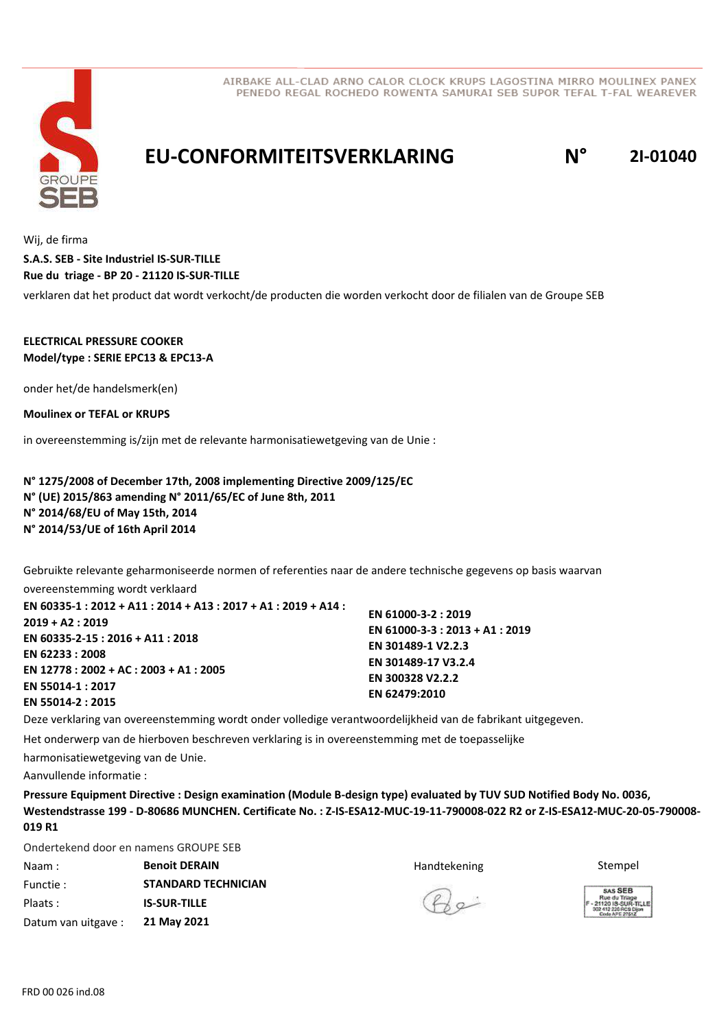



### **EU-CONFORMITEITSVERKLARING N° 2I-01040**

Wij, de firma verklaren dat het product dat wordt verkocht/de producten die worden verkocht door de filialen van de Groupe SEB **S.A.S. SEB - Site Industriel IS-SUR-TILLE Rue du triage - BP 20 - 21120 IS-SUR-TILLE**

### **ELECTRICAL PRESSURE COOKER Model/type : SERIE EPC13 & EPC13-A**

onder het/de handelsmerk(en)

**Moulinex or TEFAL or KRUPS**

in overeenstemming is/zijn met de relevante harmonisatiewetgeving van de Unie :

**N° 1275/2008 of December 17th, 2008 implementing Directive 2009/125/EC N° (UE) 2015/863 amending N° 2011/65/EC of June 8th, 2011 N° 2014/68/EU of May 15th, 2014 N° 2014/53/UE of 16th April 2014**

Gebruikte relevante geharmoniseerde normen of referenties naar de andere technische gegevens op basis waarvan

overeenstemming wordt verklaard **EN 60335-1 : 2012 + A11 : 2014 + A13 : 2017 + A1 : 2019 + A14 : 2019 + A2 : 2019 EN 60335-2-15 : 2016 + A11 : 2018 EN 62233 : 2008 EN 12778 : 2002 + AC : 2003 + A1 : 2005 EN 55014-1 : 2017 EN 55014-2 : 2015**

Deze verklaring van overeenstemming wordt onder volledige verantwoordelijkheid van de fabrikant uitgegeven.

Het onderwerp van de hierboven beschreven verklaring is in overeenstemming met de toepasselijke

harmonisatiewetgeving van de Unie.

Aanvullende informatie :

**Pressure Equipment Directive : Design examination (Module B-design type) evaluated by TUV SUD Notified Body No. 0036, Westendstrasse 199 - D-80686 MUNCHEN. Certificate No. : Z-IS-ESA12-MUC-19-11-790008-022 R2 or Z-IS-ESA12-MUC-20-05-790008- 019 R1**

Ondertekend door en namens GROUPE SEB

| Naam:               | <b>Benoit DERAIN</b>       | Handtekening | Stempel                                                   |
|---------------------|----------------------------|--------------|-----------------------------------------------------------|
| Functie:            | <b>STANDARD TECHNICIAN</b> |              | SAS SEB                                                   |
| Plaats:             | <b>IS-SUR-TILLE</b>        | (A)          | Rue du Triage<br>F - 21120 IS-SUR-T<br>302 412 226 RCS Di |
| Datum van uitgave : | 21 May 2021                |              | Code APE 2761Z                                            |

**EN 61000-3-2 : 2019**

**EN 301489-1 V2.2.3 EN 301489-17 V3.2.4 EN 300328 V2.2.2 EN 62479:2010**

**EN 61000-3-3 : 2013 + A1 : 2019**



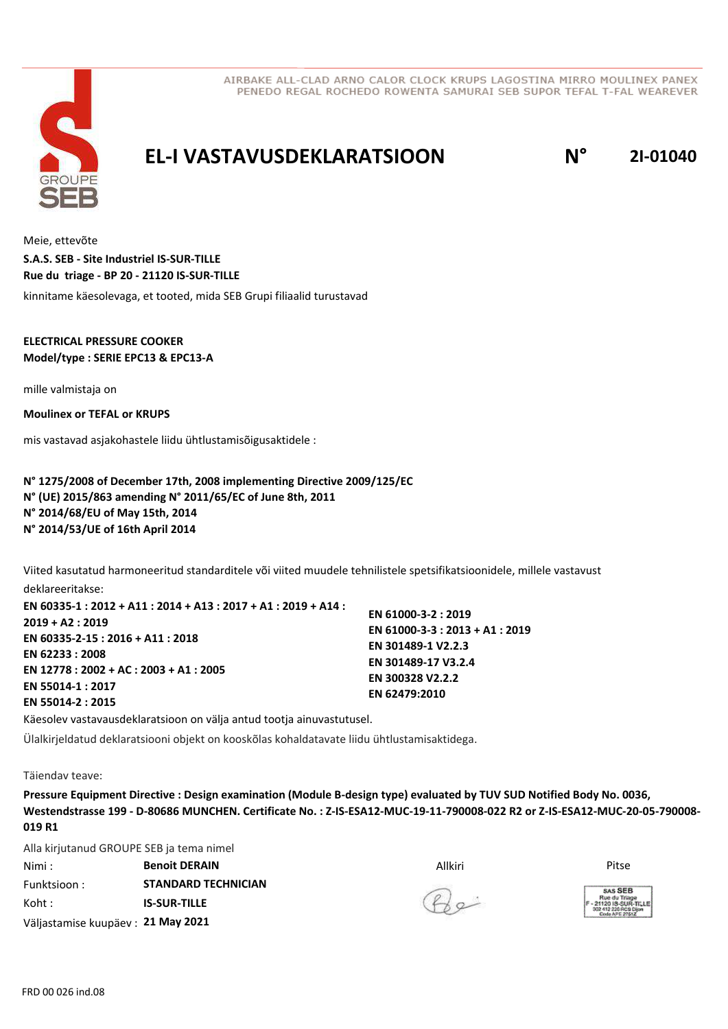

### **EL-I VASTAVUSDEKLARATSIOON N° 2I-01040**

Meie, ettevõte kinnitame käesolevaga, et tooted, mida SEB Grupi filiaalid turustavad **S.A.S. SEB - Site Industriel IS-SUR-TILLE Rue du triage - BP 20 - 21120 IS-SUR-TILLE**

#### **ELECTRICAL PRESSURE COOKER Model/type : SERIE EPC13 & EPC13-A**

mille valmistaja on

**Moulinex or TEFAL or KRUPS**

mis vastavad asjakohastele liidu ühtlustamisõigusaktidele :

**N° 1275/2008 of December 17th, 2008 implementing Directive 2009/125/EC N° (UE) 2015/863 amending N° 2011/65/EC of June 8th, 2011 N° 2014/68/EU of May 15th, 2014 N° 2014/53/UE of 16th April 2014**

Viited kasutatud harmoneeritud standarditele või viited muudele tehnilistele spetsifikatsioonidele, millele vastavust deklareeritakse:

**EN 60335-1 : 2012 + A11 : 2014 + A13 : 2017 + A1 : 2019 + A14 : 2019 + A2 : 2019 EN 60335-2-15 : 2016 + A11 : 2018 EN 62233 : 2008 EN 12778 : 2002 + AC : 2003 + A1 : 2005 EN 55014-1 : 2017 EN 55014-2 : 2015 EN 61000-3-2 : 2019 EN 61000-3-3 : 2013 + A1 : 2019 EN 301489-1 V2.2.3 EN 301489-17 V3.2.4 EN 300328 V2.2.2 EN 62479:2010**

Käesolev vastavausdeklaratsioon on välja antud tootja ainuvastutusel.

Ülalkirjeldatud deklaratsiooni objekt on kooskõlas kohaldatavate liidu ühtlustamisaktidega.

Täiendav teave:

**Pressure Equipment Directive : Design examination (Module B-design type) evaluated by TUV SUD Notified Body No. 0036, Westendstrasse 199 - D-80686 MUNCHEN. Certificate No. : Z-IS-ESA12-MUC-19-11-790008-022 R2 or Z-IS-ESA12-MUC-20-05-790008- 019 R1**

Alla kirjutanud GROUPE SEB ja tema nimel

Nimi : Allkiri **Benoit DERAIN** Pitse Funktsioon : Koht : Väljastamise kuupäev : **21 May 2021 STANDARD TECHNICIAN IS-SUR-TILLE**

 $Q_{\alpha}$ 

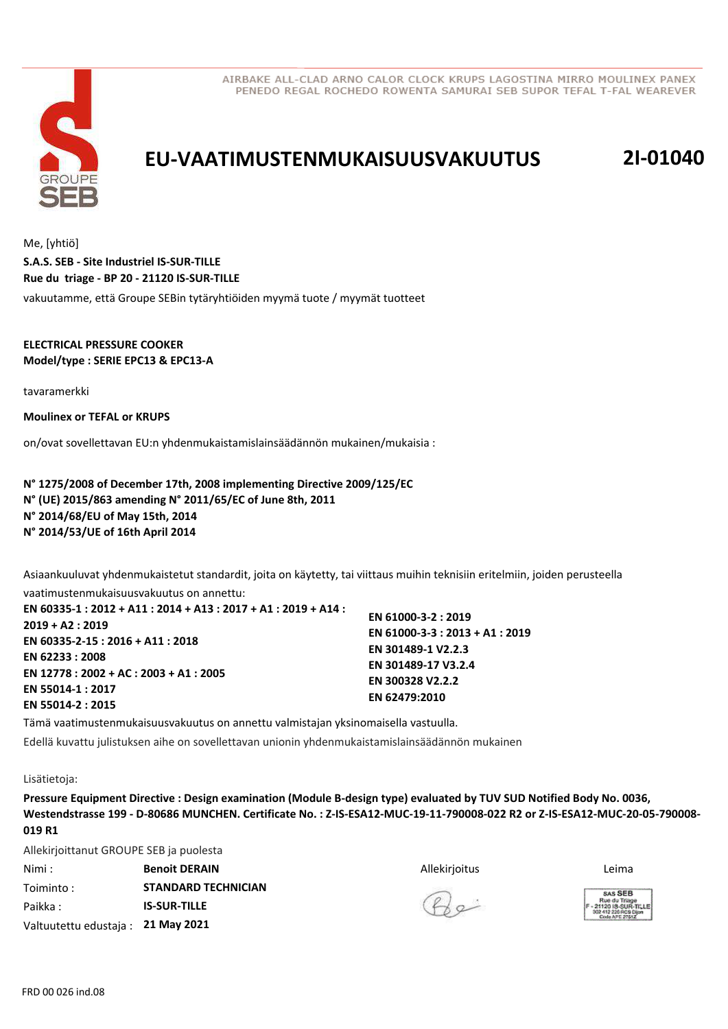

## **EU-VAATIMUSTENMUKAISUUSVAKUUTUS 2I-01040**

Me, [yhtiö] vakuutamme, että Groupe SEBin tytäryhtiöiden myymä tuote / myymät tuotteet **S.A.S. SEB - Site Industriel IS-SUR-TILLE Rue du triage - BP 20 - 21120 IS-SUR-TILLE**

**ELECTRICAL PRESSURE COOKER**

**Model/type : SERIE EPC13 & EPC13-A**

tavaramerkki

**Moulinex or TEFAL or KRUPS**

on/ovat sovellettavan EU:n yhdenmukaistamislainsäädännön mukainen/mukaisia :

**N° 1275/2008 of December 17th, 2008 implementing Directive 2009/125/EC N° (UE) 2015/863 amending N° 2011/65/EC of June 8th, 2011 N° 2014/68/EU of May 15th, 2014 N° 2014/53/UE of 16th April 2014**

Asiaankuuluvat yhdenmukaistetut standardit, joita on käytetty, tai viittaus muihin teknisiin eritelmiin, joiden perusteella

vaatimustenmukaisuusvakuutus on annettu: **EN 60335-1 : 2012 + A11 : 2014 + A13 : 2017 + A1 : 2019 + A14 : 2019 + A2 : 2019 EN 60335-2-15 : 2016 + A11 : 2018 EN 62233 : 2008 EN 12778 : 2002 + AC : 2003 + A1 : 2005 EN 55014-1 : 2017 EN 55014-2 : 2015**

**EN 61000-3-2 : 2019 EN 61000-3-3 : 2013 + A1 : 2019 EN 301489-1 V2.2.3 EN 301489-17 V3.2.4 EN 300328 V2.2.2 EN 62479:2010**

Tämä vaatimustenmukaisuusvakuutus on annettu valmistajan yksinomaisella vastuulla.

Edellä kuvattu julistuksen aihe on sovellettavan unionin yhdenmukaistamislainsäädännön mukainen

Lisätietoja:

**Pressure Equipment Directive : Design examination (Module B-design type) evaluated by TUV SUD Notified Body No. 0036, Westendstrasse 199 - D-80686 MUNCHEN. Certificate No. : Z-IS-ESA12-MUC-19-11-790008-022 R2 or Z-IS-ESA12-MUC-20-05-790008- 019 R1**

Allekirjoittanut GROUPE SEB ja puolesta

Nimi : Allekirjoitus **Benoit DERAIN** Leima Toiminto : Paikka : Valtuutettu edustaja : **21 May 2021 STANDARD TECHNICIAN IS-SUR-TILLE**



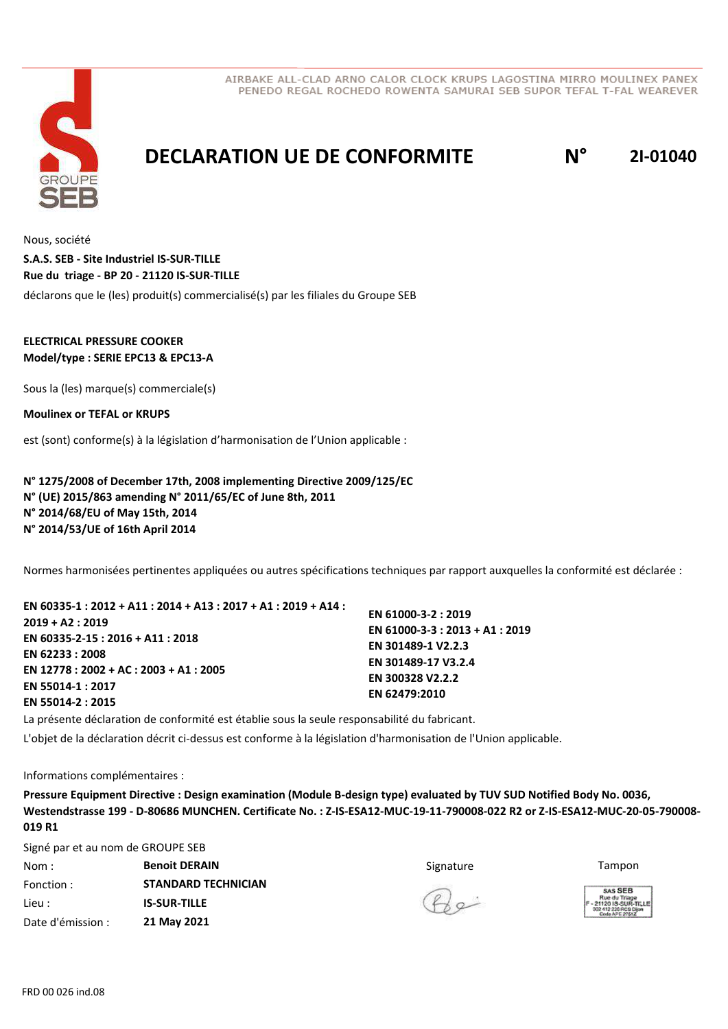

# **DECLARATION UE DE CONFORMITE N° 2I-01040**

Nous, société déclarons que le (les) produit(s) commercialisé(s) par les filiales du Groupe SEB **S.A.S. SEB - Site Industriel IS-SUR-TILLE Rue du triage - BP 20 - 21120 IS-SUR-TILLE**

### **ELECTRICAL PRESSURE COOKER Model/type : SERIE EPC13 & EPC13-A**

Sous la (les) marque(s) commerciale(s)

**Moulinex or TEFAL or KRUPS**

est (sont) conforme(s) à la législation d'harmonisation de l'Union applicable :

**N° 1275/2008 of December 17th, 2008 implementing Directive 2009/125/EC N° (UE) 2015/863 amending N° 2011/65/EC of June 8th, 2011 N° 2014/68/EU of May 15th, 2014 N° 2014/53/UE of 16th April 2014**

Normes harmonisées pertinentes appliquées ou autres spécifications techniques par rapport auxquelles la conformité est déclarée :

| EN 60335-1 : 2012 + A11 : 2014 + A13 : 2017 + A1 : 2019 + A14 : |                                 |
|-----------------------------------------------------------------|---------------------------------|
|                                                                 | EN 61000-3-2: 2019              |
| 2019 + A2 : 2019                                                | EN 61000-3-3 : 2013 + A1 : 2019 |
| EN 60335-2-15 : 2016 + A11 : 2018                               | EN 301489-1 V2.2.3              |
| EN 62233:2008                                                   |                                 |
| EN 12778 : 2002 + AC : 2003 + A1 : 2005                         | EN 301489-17 V3.2.4             |
|                                                                 | EN 300328 V2.2.2                |
| EN 55014-1 : 2017                                               | EN 62479:2010                   |
| EN 55014-2 : 2015                                               |                                 |

La présente déclaration de conformité est établie sous la seule responsabilité du fabricant. L'objet de la déclaration décrit ci-dessus est conforme à la législation d'harmonisation de l'Union applicable.

Informations complémentaires :

**Pressure Equipment Directive : Design examination (Module B-design type) evaluated by TUV SUD Notified Body No. 0036, Westendstrasse 199 - D-80686 MUNCHEN. Certificate No. : Z-IS-ESA12-MUC-19-11-790008-022 R2 or Z-IS-ESA12-MUC-20-05-790008- 019 R1**

Signé par et au nom de GROUPE SEB

| Nom:              | <b>Benoit DERAIN</b>       | Signature    | Tampon                                                    |
|-------------------|----------------------------|--------------|-----------------------------------------------------------|
| Fonction :        | <b>STANDARD TECHNICIAN</b> |              | SAS SEB                                                   |
| Lieu :            | <b>IS-SUR-TILLE</b>        | $Q_{\alpha}$ | Rue du Triage<br>F - 21120 IS-SUR-T<br>302 412 226 RCS Di |
| Date d'émission : | 21 May 2021                |              | Code APE 2761Z                                            |



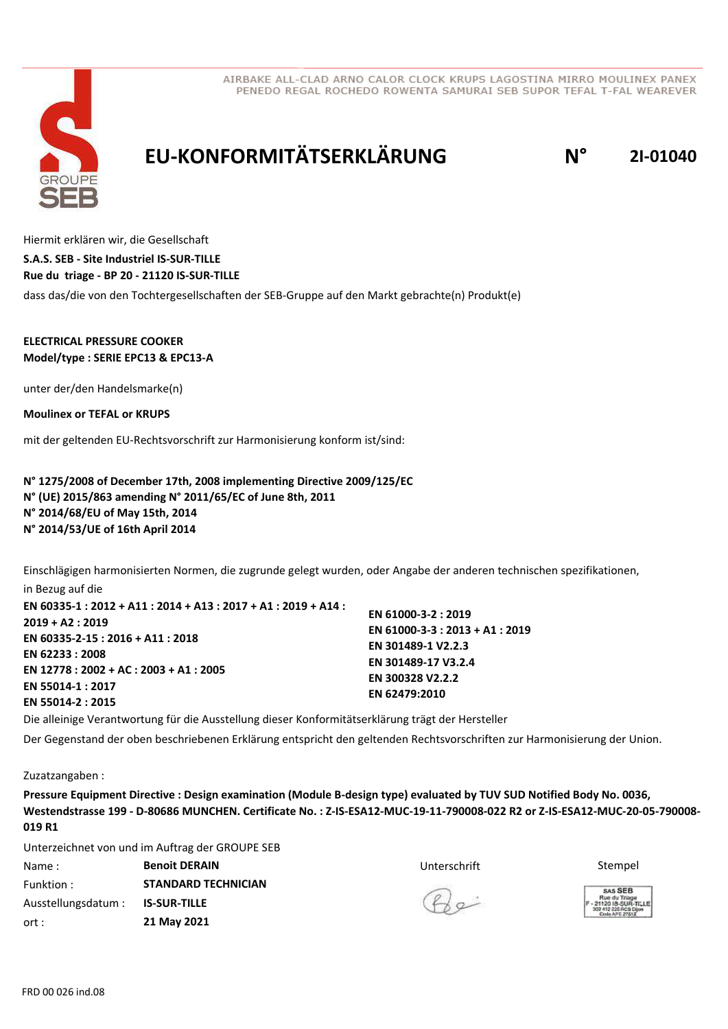

# **EU-KONFORMITÄTSERKLÄRUNG N° 2I-01040**

Hiermit erklären wir, die Gesellschaft dass das/die von den Tochtergesellschaften der SEB-Gruppe auf den Markt gebrachte(n) Produkt(e) **S.A.S. SEB - Site Industriel IS-SUR-TILLE Rue du triage - BP 20 - 21120 IS-SUR-TILLE**

#### **ELECTRICAL PRESSURE COOKER Model/type : SERIE EPC13 & EPC13-A**

unter der/den Handelsmarke(n)

**Moulinex or TEFAL or KRUPS**

mit der geltenden EU-Rechtsvorschrift zur Harmonisierung konform ist/sind:

**N° 1275/2008 of December 17th, 2008 implementing Directive 2009/125/EC N° (UE) 2015/863 amending N° 2011/65/EC of June 8th, 2011 N° 2014/68/EU of May 15th, 2014 N° 2014/53/UE of 16th April 2014**

Einschlägigen harmonisierten Normen, die zugrunde gelegt wurden, oder Angabe der anderen technischen spezifikationen,

in Bezug auf die **EN 60335-1 : 2012 + A11 : 2014 + A13 : 2017 + A1 : 2019 + A14 : 2019 + A2 : 2019 EN 60335-2-15 : 2016 + A11 : 2018 EN 62233 : 2008 EN 12778 : 2002 + AC : 2003 + A1 : 2005 EN 55014-1 : 2017 EN 55014-2 : 2015 EN 61000-3-2 : 2019 EN 61000-3-3 : 2013 + A1 : 2019 EN 301489-1 V2.2.3 EN 301489-17 V3.2.4 EN 300328 V2.2.2 EN 62479:2010**

Die alleinige Verantwortung für die Ausstellung dieser Konformitätserklärung trägt der Hersteller Der Gegenstand der oben beschriebenen Erklärung entspricht den geltenden Rechtsvorschriften zur Harmonisierung der Union.

Zuzatzangaben :

**Pressure Equipment Directive : Design examination (Module B-design type) evaluated by TUV SUD Notified Body No. 0036, Westendstrasse 199 - D-80686 MUNCHEN. Certificate No. : Z-IS-ESA12-MUC-19-11-790008-022 R2 or Z-IS-ESA12-MUC-20-05-790008- 019 R1**

Unterzeichnet von und im Auftrag der GROUPE SEB

**Name : Stempel & Benoit DERAIN Branch Band Band Band Branch Branch Branch Branch Branch Branch Branch Branch B** Funktion : Ausstellungsdatum : ort : **STANDARD TECHNICIAN IS-SUR-TILLE 21 May 2021**



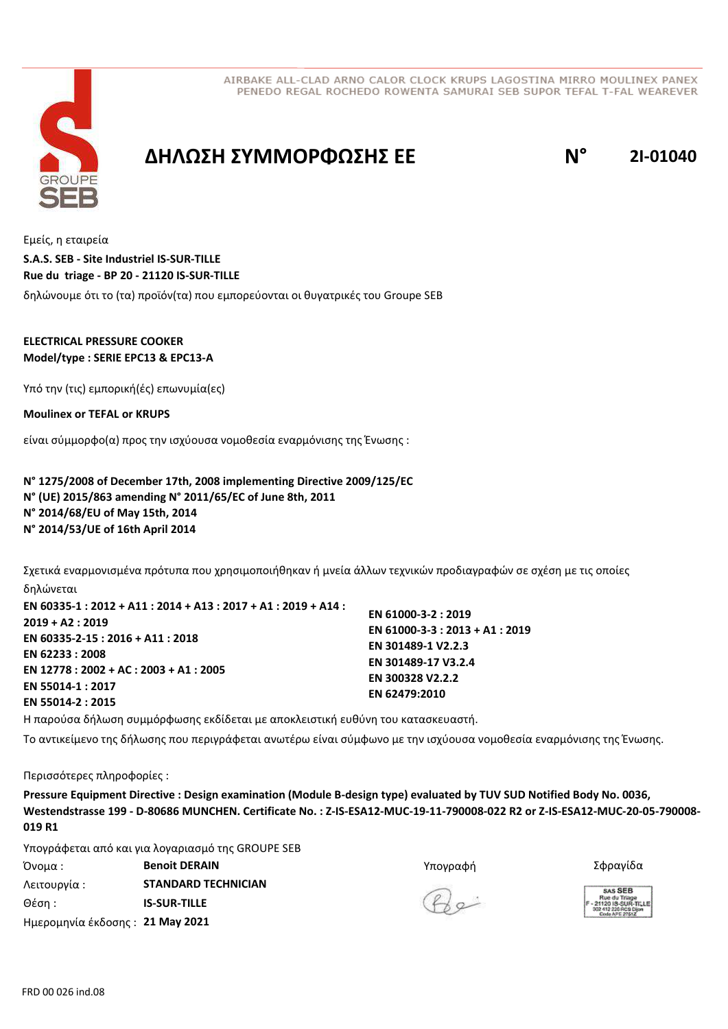



### **ΔΗΛΩΣΗ ΣΥΜΜΟΡΦΩΣΗΣ ΕΕ N° 2I-01040**

Εμείς, η εταιρεία δηλώνουμε ότι το (τα) προϊόν(τα) που εμπορεύονται οι θυγατρικές του Groupe SEB **S.A.S. SEB - Site Industriel IS-SUR-TILLE Rue du triage - BP 20 - 21120 IS-SUR-TILLE**

#### **ELECTRICAL PRESSURE COOKER Model/type : SERIE EPC13 & EPC13-A**

Υπό την (τις) εμπορική(ές) επωνυμία(ες)

**Moulinex or TEFAL or KRUPS**

είναι σύμμορφο(α) προς την ισχύουσα νομοθεσία εναρμόνισης της Ένωσης :

**N° 1275/2008 of December 17th, 2008 implementing Directive 2009/125/EC N° (UE) 2015/863 amending N° 2011/65/EC of June 8th, 2011 N° 2014/68/EU of May 15th, 2014 N° 2014/53/UE of 16th April 2014**

Σχετικά εναρμονισμένα πρότυπα που χρησιμοποιήθηκαν ή μνεία άλλων τεχνικών προδιαγραφών σε σχέση µε τις οποίες

δηλώνεται **EN 60335-1 : 2012 + A11 : 2014 + A13 : 2017 + A1 : 2019 + A14 : 2019 + A2 : 2019 EN 60335-2-15 : 2016 + A11 : 2018 EN 62233 : 2008 EN 12778 : 2002 + AC : 2003 + A1 : 2005 EN 55014-1 : 2017 EN 55014-2 : 2015 EN 61000-3-2 : 2019 EN 61000-3-3 : 2013 + A1 : 2019 EN 301489-1 V2.2.3 EN 301489-17 V3.2.4 EN 300328 V2.2.2 EN 62479:2010**

Η παρούσα δήλωση συμμόρφωσης εκδίδεται µε αποκλειστική ευθύνη του κατασκευαστή.

Το αντικείμενο της δήλωσης που περιγράφεται ανωτέρω είναι σύμφωνο με την ισχύουσα νομοθεσία εναρμόνισης της Ένωσης.

Περισσότερες πληροφορίες :

**Pressure Equipment Directive : Design examination (Module B-design type) evaluated by TUV SUD Notified Body No. 0036, Westendstrasse 199 - D-80686 MUNCHEN. Certificate No. : Z-IS-ESA12-MUC-19-11-790008-022 R2 or Z-IS-ESA12-MUC-20-05-790008- 019 R1**

Υπογράφεται από και για λογαριασμό της GROUPE SEB

Όνομα : Υπογραφή **Benoit DERAIN** Σφραγίδα Λειτουργία : Θέση : Ημερομηνία έκδοσης : **21 May 2021 STANDARD TECHNICIAN IS-SUR-TILLE**



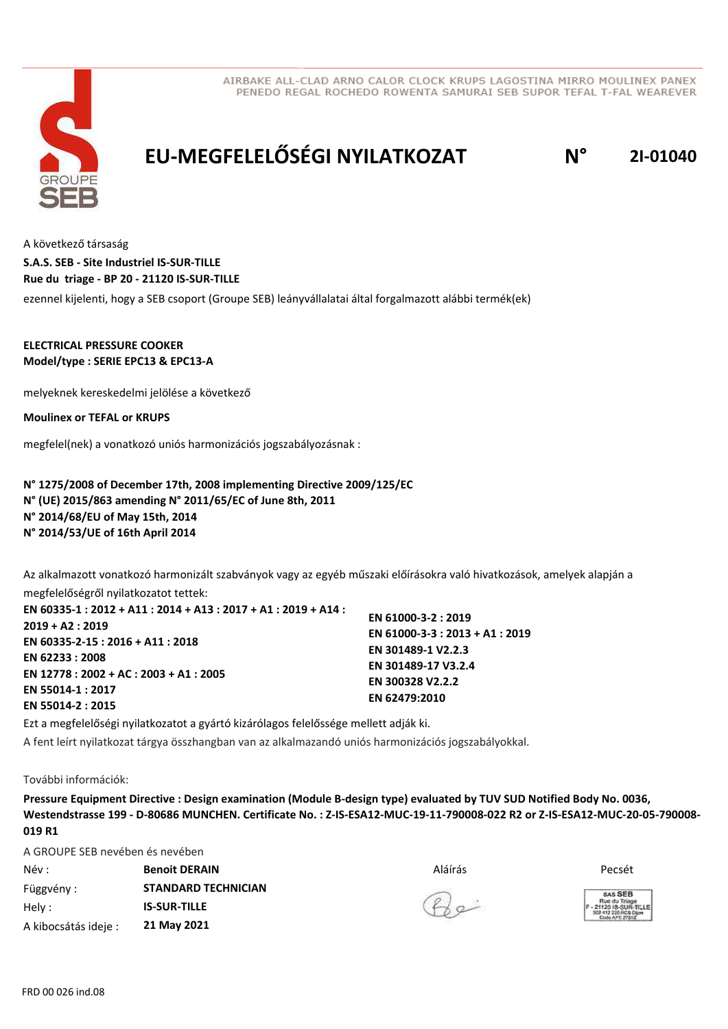



# **EU-MEGFELELŐSÉGI NYILATKOZAT N° 2I-01040**

A következő társaság

**S.A.S. SEB - Site Industriel IS-SUR-TILLE Rue du triage - BP 20 - 21120 IS-SUR-TILLE**

ezennel kijelenti, hogy a SEB csoport (Groupe SEB) leányvállalatai által forgalmazott alábbi termék(ek)

### **ELECTRICAL PRESSURE COOKER Model/type : SERIE EPC13 & EPC13-A**

melyeknek kereskedelmi jelölése a következő

**Moulinex or TEFAL or KRUPS**

megfelel(nek) a vonatkozó uniós harmonizációs jogszabályozásnak :

### **N° 1275/2008 of December 17th, 2008 implementing Directive 2009/125/EC N° (UE) 2015/863 amending N° 2011/65/EC of June 8th, 2011 N° 2014/68/EU of May 15th, 2014 N° 2014/53/UE of 16th April 2014**

Az alkalmazott vonatkozó harmonizált szabványok vagy az egyéb műszaki előírásokra való hivatkozások, amelyek alapján a

megfelelőségről nyilatkozatot tettek:

| EN 60335-1 : 2012 + A11 : 2014 + A13 : 2017 + A1 : 2019 + A14 : |                                 |
|-----------------------------------------------------------------|---------------------------------|
| 2019 + A2 : 2019                                                | EN 61000-3-2: 2019              |
|                                                                 | EN 61000-3-3 : 2013 + A1 : 2019 |
| EN 60335-2-15 : 2016 + A11 : 2018                               | EN 301489-1 V2.2.3              |
| EN 62233 : 2008                                                 |                                 |
| EN 12778 : 2002 + AC : 2003 + A1 : 2005                         | EN 301489-17 V3.2.4             |
|                                                                 | EN 300328 V2.2.2                |
| EN 55014-1 : 2017                                               | EN 62479:2010                   |
| EN 55014-2 : 2015                                               |                                 |

Ezt a megfelelőségi nyilatkozatot a gyártó kizárólagos felelőssége mellett adják ki.

A fent leírt nyilatkozat tárgya összhangban van az alkalmazandó uniós harmonizációs jogszabályokkal.

#### További információk:

**Pressure Equipment Directive : Design examination (Module B-design type) evaluated by TUV SUD Notified Body No. 0036, Westendstrasse 199 - D-80686 MUNCHEN. Certificate No. : Z-IS-ESA12-MUC-19-11-790008-022 R2 or Z-IS-ESA12-MUC-20-05-790008- 019 R1**

A GROUPE SEB nevében és nevében Név : Aláírás Függvény : Hely : **Benoit DERAIN** Pecsét **STANDARD TECHNICIAN IS-SUR-TILLE**

**21 May 2021**





A kibocsátás ideje :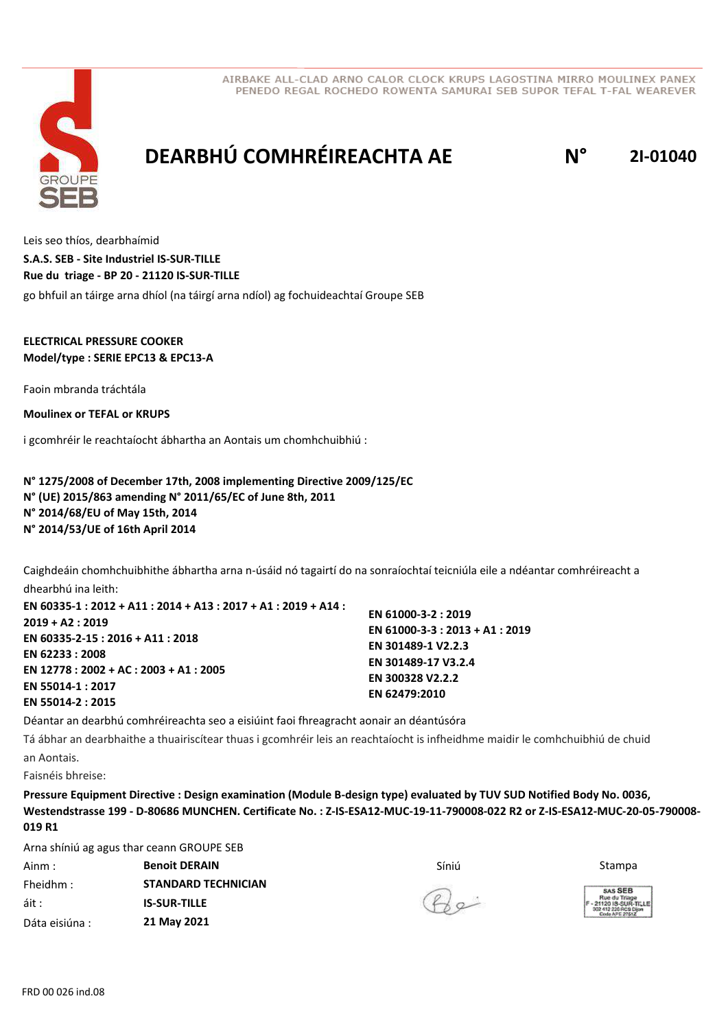

# **DEARBHÚ COMHRÉIREACHTA AE N° 2I-01040**

Leis seo thíos, dearbhaímid go bhfuil an táirge arna dhíol (na táirgí arna ndíol) ag fochuideachtaí Groupe SEB **S.A.S. SEB - Site Industriel IS-SUR-TILLE Rue du triage - BP 20 - 21120 IS-SUR-TILLE**

### **ELECTRICAL PRESSURE COOKER Model/type : SERIE EPC13 & EPC13-A**

Faoin mbranda tráchtála

**Moulinex or TEFAL or KRUPS**

i gcomhréir le reachtaíocht ábhartha an Aontais um chomhchuibhiú :

**N° 1275/2008 of December 17th, 2008 implementing Directive 2009/125/EC N° (UE) 2015/863 amending N° 2011/65/EC of June 8th, 2011 N° 2014/68/EU of May 15th, 2014 N° 2014/53/UE of 16th April 2014**

Caighdeáin chomhchuibhithe ábhartha arna n-úsáid nó tagairtí do na sonraíochtaí teicniúla eile a ndéantar comhréireacht a dhearbhú ina leith:

**EN 60335-1 : 2012 + A11 : 2014 + A13 : 2017 + A1 : 2019 + A14 : 2019 + A2 : 2019 EN 60335-2-15 : 2016 + A11 : 2018 EN 62233 : 2008 EN 12778 : 2002 + AC : 2003 + A1 : 2005 EN 55014-1 : 2017 EN 55014-2 : 2015 EN 61000-3-2 : 2019 EN 61000-3-3 : 2013 + A1 : 2019 EN 301489-1 V2.2.3 EN 301489-17 V3.2.4 EN 300328 V2.2.2 EN 62479:2010**

Déantar an dearbhú comhréireachta seo a eisiúint faoi fhreagracht aonair an déantúsóra

Tá ábhar an dearbhaithe a thuairiscítear thuas i gcomhréir leis an reachtaíocht is infheidhme maidir le comhchuibhiú de chuid an Aontais.

Faisnéis bhreise:

**Pressure Equipment Directive : Design examination (Module B-design type) evaluated by TUV SUD Notified Body No. 0036, Westendstrasse 199 - D-80686 MUNCHEN. Certificate No. : Z-IS-ESA12-MUC-19-11-790008-022 R2 or Z-IS-ESA12-MUC-20-05-790008- 019 R1**

Arna shíniú ag agus thar ceann GROUPE SEB

| Ainm :         | <b>Benoit DERAIN</b>       | Síniú  | Stampa                                               |
|----------------|----------------------------|--------|------------------------------------------------------|
| Fheidhm :      | <b>STANDARD TECHNICIAN</b> |        | SAS SEB                                              |
| áit :          | <b>IS-SUR-TILLE</b>        | $42 -$ | Rue du Triage<br>1-21120 IS-SUR<br>302 412 226 RCS D |
| Dáta eisiúna : | 21 May 2021                |        | Code APE 27512                                       |

 $\mathcal{P}$ 

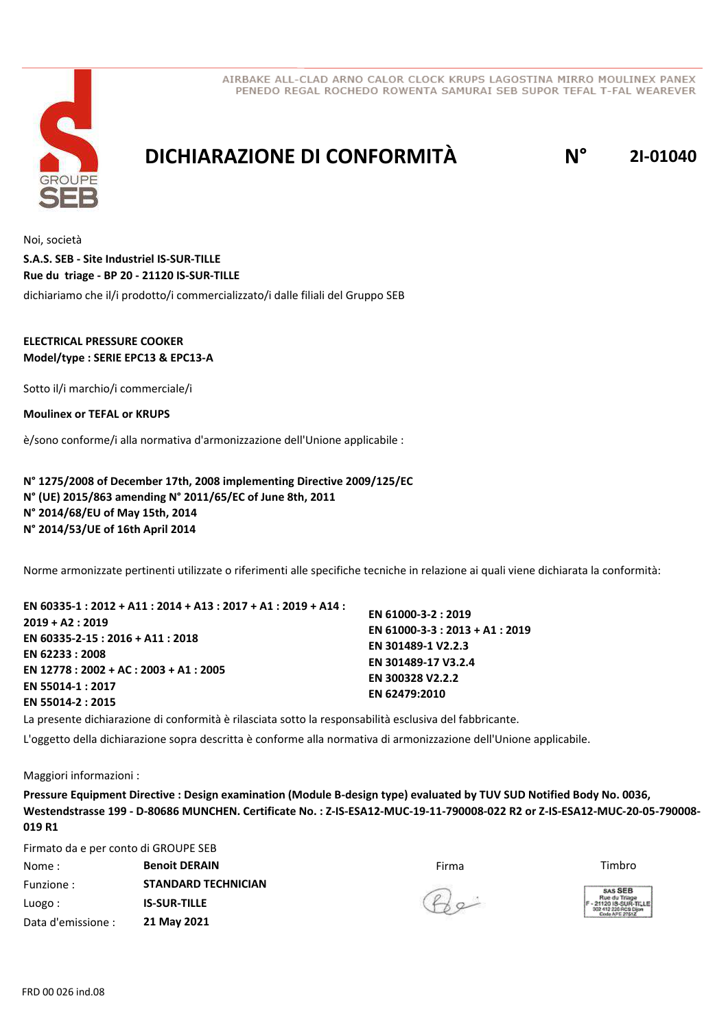



## **DICHIARAZIONE DI CONFORMITÀ N° 2I-01040**

Noi, società dichiariamo che il/i prodotto/i commercializzato/i dalle filiali del Gruppo SEB **S.A.S. SEB - Site Industriel IS-SUR-TILLE Rue du triage - BP 20 - 21120 IS-SUR-TILLE**

### **ELECTRICAL PRESSURE COOKER Model/type : SERIE EPC13 & EPC13-A**

Sotto il/i marchio/i commerciale/i

**Moulinex or TEFAL or KRUPS**

è/sono conforme/i alla normativa d'armonizzazione dell'Unione applicabile :

**N° 1275/2008 of December 17th, 2008 implementing Directive 2009/125/EC N° (UE) 2015/863 amending N° 2011/65/EC of June 8th, 2011 N° 2014/68/EU of May 15th, 2014 N° 2014/53/UE of 16th April 2014**

Norme armonizzate pertinenti utilizzate o riferimenti alle specifiche tecniche in relazione ai quali viene dichiarata la conformità:

| EN 60335-1 : 2012 + A11 : 2014 + A13 : 2017 + A1 : 2019 + A14 : |                                 |
|-----------------------------------------------------------------|---------------------------------|
|                                                                 | EN 61000-3-2: 2019              |
| 2019 + A2 : 2019                                                | EN 61000-3-3 : 2013 + A1 : 2019 |
| EN 60335-2-15 : 2016 + A11 : 2018                               | EN 301489-1 V2.2.3              |
| EN 62233 : 2008                                                 |                                 |
| EN 12778 : 2002 + AC : 2003 + A1 : 2005                         | EN 301489-17 V3.2.4             |
|                                                                 | EN 300328 V2.2.2                |
| EN 55014-1 : 2017                                               | EN 62479:2010                   |
| EN 55014-2 : 2015                                               |                                 |
|                                                                 |                                 |

La presente dichiarazione di conformità è rilasciata sotto la responsabilità esclusiva del fabbricante.

L'oggetto della dichiarazione sopra descritta è conforme alla normativa di armonizzazione dell'Unione applicabile.

Maggiori informazioni :

**Pressure Equipment Directive : Design examination (Module B-design type) evaluated by TUV SUD Notified Body No. 0036, Westendstrasse 199 - D-80686 MUNCHEN. Certificate No. : Z-IS-ESA12-MUC-19-11-790008-022 R2 or Z-IS-ESA12-MUC-20-05-790008- 019 R1**

Firmato da e per conto di GROUPE SEB

| Nome:              | <b>Benoit DERAIN</b>       | Firma        | Timbro                                                |
|--------------------|----------------------------|--------------|-------------------------------------------------------|
| Funzione:          | <b>STANDARD TECHNICIAN</b> |              | SAS SEB                                               |
| Luogo:             | <b>IS-SUR-TILLE</b>        | $R_{\infty}$ | Rue du Triage<br>- 21120 IS-SUR-<br>302 412 226 RCS D |
| Data d'emissione : | 21 May 2021                |              | Code APE 27512                                        |

 $Q_{\alpha}$ 

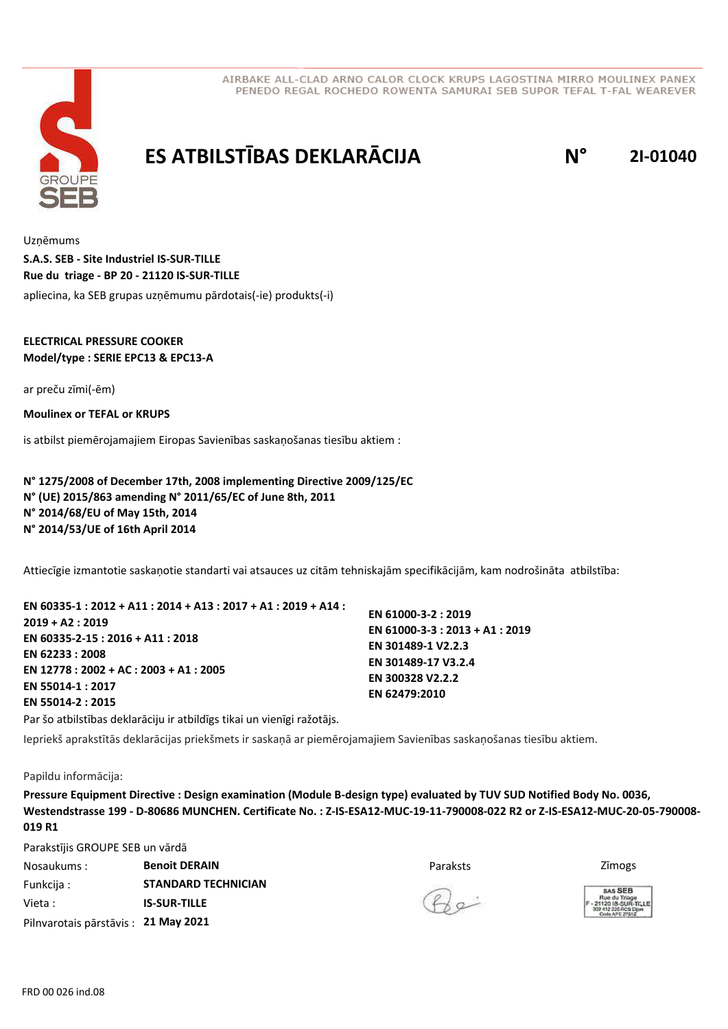

# **ES ATBILSTĪBAS DEKLARĀCIJA N° 2I-01040**

Uzņēmums apliecina, ka SEB grupas uzņēmumu pārdotais(-ie) produkts(-i) **S.A.S. SEB - Site Industriel IS-SUR-TILLE Rue du triage - BP 20 - 21120 IS-SUR-TILLE**

### **ELECTRICAL PRESSURE COOKER Model/type : SERIE EPC13 & EPC13-A**

ar preču zīmi(-ēm)

**Moulinex or TEFAL or KRUPS**

is atbilst piemērojamajiem Eiropas Savienības saskaņošanas tiesību aktiem :

**N° 1275/2008 of December 17th, 2008 implementing Directive 2009/125/EC N° (UE) 2015/863 amending N° 2011/65/EC of June 8th, 2011 N° 2014/68/EU of May 15th, 2014 N° 2014/53/UE of 16th April 2014**

Attiecīgie izmantotie saskaņotie standarti vai atsauces uz citām tehniskajām specifikācijām, kam nodrošināta atbilstība:

| EN 60335-1 : 2012 + A11 : 2014 + A13 : 2017 + A1 : 2019 + A14 : |                                 |
|-----------------------------------------------------------------|---------------------------------|
| $2019 + A2:2019$                                                | EN 61000-3-2: 2019              |
|                                                                 | EN 61000-3-3 : 2013 + A1 : 2019 |
| EN 60335-2-15 : 2016 + A11 : 2018                               | EN 301489-1 V2.2.3              |
| EN 62233:2008                                                   | EN 301489-17 V3.2.4             |
| EN 12778 : 2002 + AC : 2003 + A1 : 2005                         |                                 |
| EN 55014-1:2017                                                 | EN 300328 V2.2.2                |
| EN 55014-2 : 2015                                               | EN 62479:2010                   |

Par šo atbilstības deklarāciju ir atbildīgs tikai un vienīgi ražotājs.

Iepriekš aprakstītās deklarācijas priekšmets ir saskaņā ar piemērojamajiem Savienības saskaņošanas tiesību aktiem.

#### Papildu informācija:

**Pressure Equipment Directive : Design examination (Module B-design type) evaluated by TUV SUD Notified Body No. 0036, Westendstrasse 199 - D-80686 MUNCHEN. Certificate No. : Z-IS-ESA12-MUC-19-11-790008-022 R2 or Z-IS-ESA12-MUC-20-05-790008- 019 R1**

Parakstījis GROUPE SEB un vārdā

| Nosaukums:                          | <b>Benoit DERAIN</b>       | Paraksts     | Zimogs                                                |
|-------------------------------------|----------------------------|--------------|-------------------------------------------------------|
| Funkcija :                          | <b>STANDARD TECHNICIAN</b> |              | SAS SEB                                               |
| Vieta :                             | <b>IS-SUR-TILLE</b>        | $P_{\alpha}$ | Rue du Triage<br>- 21120 IS-SUR-<br>302 412 226 RCS D |
| Pilnvarotais pārstāvis: 21 May 2021 |                            |              | Code APE 27512                                        |



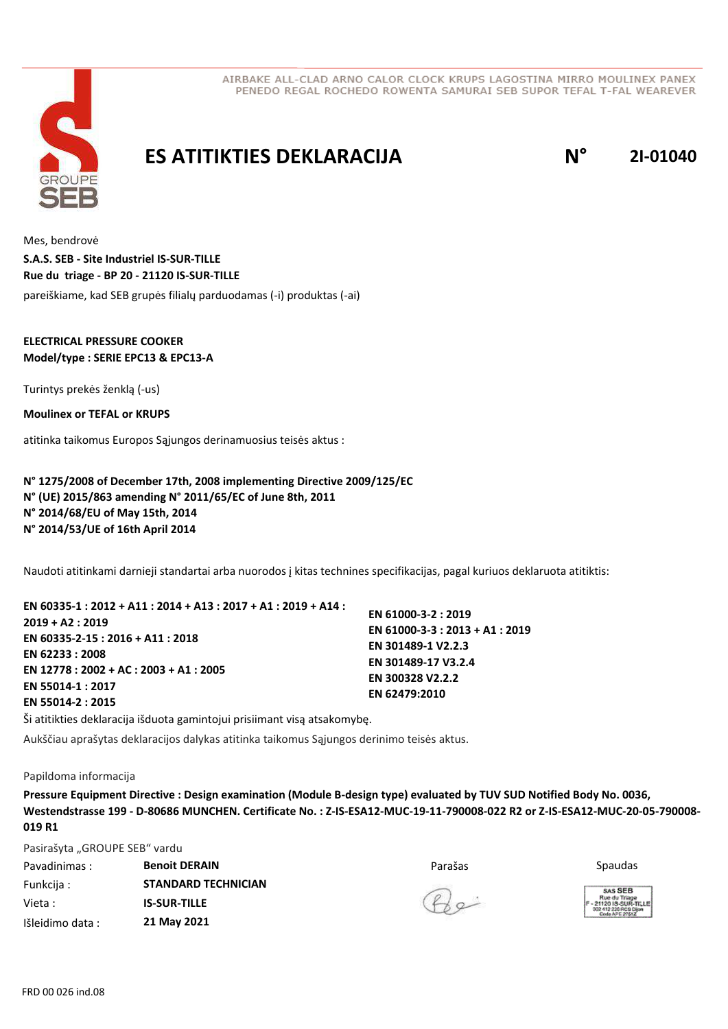

## **ES ATITIKTIES DEKLARACIJA N° 2I-01040**

Mes, bendrovė pareiškiame, kad SEB grupės filialų parduodamas (-i) produktas (-ai) **S.A.S. SEB - Site Industriel IS-SUR-TILLE Rue du triage - BP 20 - 21120 IS-SUR-TILLE**

### **ELECTRICAL PRESSURE COOKER Model/type : SERIE EPC13 & EPC13-A**

Turintys prekės ženklą (-us)

**Moulinex or TEFAL or KRUPS**

atitinka taikomus Europos Sąjungos derinamuosius teisės aktus :

**N° 1275/2008 of December 17th, 2008 implementing Directive 2009/125/EC N° (UE) 2015/863 amending N° 2011/65/EC of June 8th, 2011 N° 2014/68/EU of May 15th, 2014 N° 2014/53/UE of 16th April 2014**

Naudoti atitinkami darnieji standartai arba nuorodos į kitas technines specifikacijas, pagal kuriuos deklaruota atitiktis:

| EN 60335-1 : 2012 + A11 : 2014 + A13 : 2017 + A1 : 2019 + A14 : |                                 |
|-----------------------------------------------------------------|---------------------------------|
|                                                                 | EN 61000-3-2: 2019              |
| $2019 + A2:2019$                                                | EN 61000-3-3 : 2013 + A1 : 2019 |
| EN 60335-2-15 : 2016 + A11 : 2018                               |                                 |
| EN 62233 : 2008                                                 | EN 301489-1 V2.2.3              |
|                                                                 | EN 301489-17 V3.2.4             |
| EN 12778 : 2002 + AC : 2003 + A1 : 2005                         | EN 300328 V2.2.2                |
| EN 55014-1:2017                                                 |                                 |
| EN 55014-2:2015                                                 | EN 62479:2010                   |
|                                                                 |                                 |

Ši atitikties deklaracija išduota gamintojui prisiimant visą atsakomybę.

Aukščiau aprašytas deklaracijos dalykas atitinka taikomus Sąjungos derinimo teisės aktus.

#### Papildoma informacija

**Pressure Equipment Directive : Design examination (Module B-design type) evaluated by TUV SUD Notified Body No. 0036, Westendstrasse 199 - D-80686 MUNCHEN. Certificate No. : Z-IS-ESA12-MUC-19-11-790008-022 R2 or Z-IS-ESA12-MUC-20-05-790008- 019 R1**

Pasirašyta "GROUPE SEB" vardu

| Pavadinimas:     | <b>Benoit DERAIN</b>       | Parašas      | Spaudas                                                     |
|------------------|----------------------------|--------------|-------------------------------------------------------------|
| Funkcija :       | <b>STANDARD TECHNICIAN</b> |              | SAS SEB                                                     |
| Vieta :          | <b>IS-SUR-TILLE</b>        | $Q_{\alpha}$ | Rue du Triage<br>F - 21120 IS-SUR-TI<br>302 412 226 RCS Die |
| Išleidimo data : | 21 May 2021                |              |                                                             |



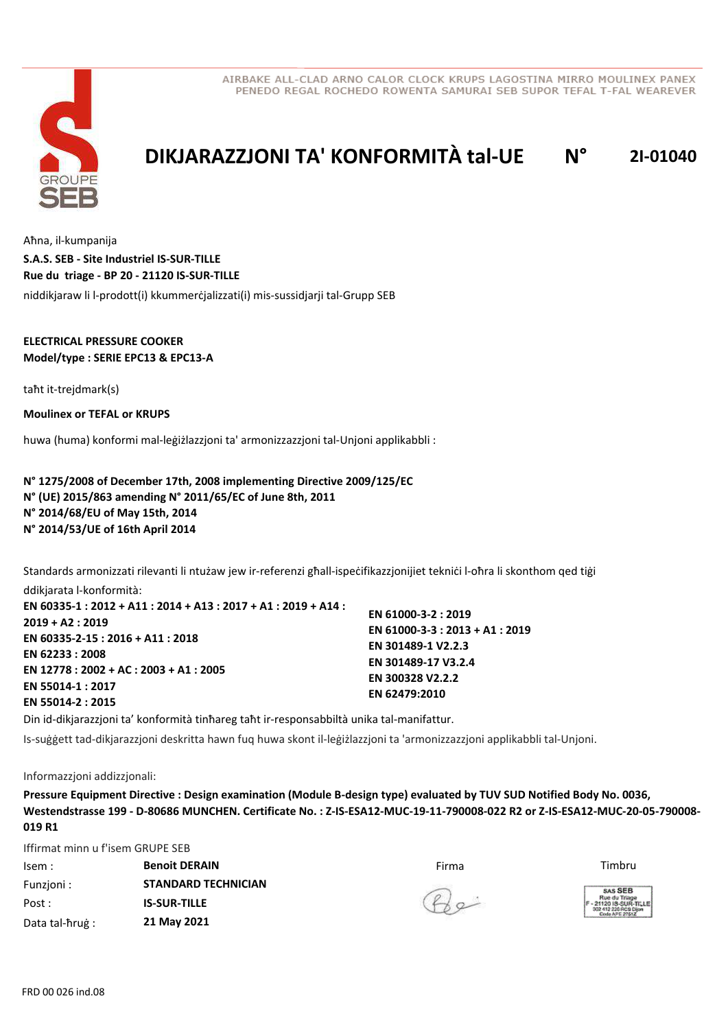



## **DIKJARAZZJONI TA' KONFORMITÀ tal-UE N° 2I-01040**

Aħna, il-kumpanija niddikjaraw li l-prodott(i) kkummerċjalizzati(i) mis-sussidjarji tal-Grupp SEB **S.A.S. SEB - Site Industriel IS-SUR-TILLE Rue du triage - BP 20 - 21120 IS-SUR-TILLE**

#### **ELECTRICAL PRESSURE COOKER Model/type : SERIE EPC13 & EPC13-A**

taħt it-trejdmark(s)

**Moulinex or TEFAL or KRUPS**

huwa (huma) konformi mal-leġiżlazzjoni ta' armonizzazzjoni tal-Unjoni applikabbli :

**N° 1275/2008 of December 17th, 2008 implementing Directive 2009/125/EC N° (UE) 2015/863 amending N° 2011/65/EC of June 8th, 2011 N° 2014/68/EU of May 15th, 2014 N° 2014/53/UE of 16th April 2014**

Standards armonizzati rilevanti li ntużaw jew ir-referenzi għall-ispeċifikazzjonijiet tekniċi l-oħra li skonthom qed tiġi ddikjarata l-konformità:

**EN 60335-1 : 2012 + A11 : 2014 + A13 : 2017 + A1 : 2019 + A14 : 2019 + A2 : 2019 EN 60335-2-15 : 2016 + A11 : 2018 EN 62233 : 2008 EN 12778 : 2002 + AC : 2003 + A1 : 2005 EN 55014-1 : 2017 EN 55014-2 : 2015**

**EN 61000-3-2 : 2019 EN 61000-3-3 : 2013 + A1 : 2019 EN 301489-1 V2.2.3 EN 301489-17 V3.2.4 EN 300328 V2.2.2 EN 62479:2010**

Din id-dikjarazzjoni ta' konformità tinħareg taħt ir-responsabbiltà unika tal-manifattur. Is-suġġett tad-dikjarazzjoni deskritta hawn fuq huwa skont il-leġiżlazzjoni ta 'armonizzazzjoni applikabbli tal-Unjoni.

#### Informazzjoni addizzjonali:

**Pressure Equipment Directive : Design examination (Module B-design type) evaluated by TUV SUD Notified Body No. 0036, Westendstrasse 199 - D-80686 MUNCHEN. Certificate No. : Z-IS-ESA12-MUC-19-11-790008-022 R2 or Z-IS-ESA12-MUC-20-05-790008- 019 R1**

Iffirmat minn u f'isem GRUPE SEB

| lsem :          | <b>Benoit DERAIN</b>       | Firma        | Timbru                                                |
|-----------------|----------------------------|--------------|-------------------------------------------------------|
| Funzioni:       | <b>STANDARD TECHNICIAN</b> |              | SAS SEB                                               |
| Post :          | <b>IS-SUR-TILLE</b>        | $Q_{\alpha}$ | Rue du Triage<br>- 21120 IS-SUR-<br>302 412 226 RCS D |
| Data tal-ħruġ : | 21 May 2021                |              | Code APE 27512                                        |

 $\mathcal{P}$ 

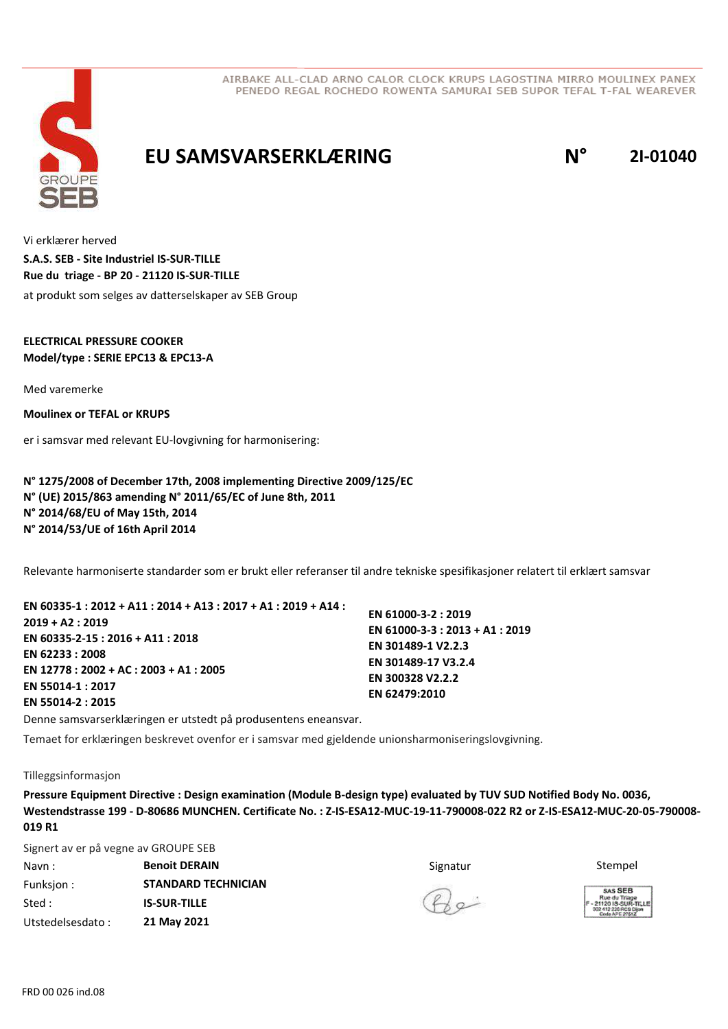

## **EU SAMSVARSERKLÆRING N° 2I-01040**

Vi erklærer herved at produkt som selges av datterselskaper av SEB Group **S.A.S. SEB - Site Industriel IS-SUR-TILLE Rue du triage - BP 20 - 21120 IS-SUR-TILLE**

### **ELECTRICAL PRESSURE COOKER Model/type : SERIE EPC13 & EPC13-A**

Med varemerke

**Moulinex or TEFAL or KRUPS**

er i samsvar med relevant EU-lovgivning for harmonisering:

**N° 1275/2008 of December 17th, 2008 implementing Directive 2009/125/EC N° (UE) 2015/863 amending N° 2011/65/EC of June 8th, 2011 N° 2014/68/EU of May 15th, 2014 N° 2014/53/UE of 16th April 2014**

Relevante harmoniserte standarder som er brukt eller referanser til andre tekniske spesifikasjoner relatert til erklært samsvar

| EN 60335-1 : 2012 + A11 : 2014 + A13 : 2017 + A1 : 2019 + A14 : |                                 |
|-----------------------------------------------------------------|---------------------------------|
|                                                                 | EN 61000-3-2: 2019              |
| $2019 + A2:2019$                                                | EN 61000-3-3 : 2013 + A1 : 2019 |
| EN 60335-2-15 : 2016 + A11 : 2018                               |                                 |
|                                                                 | EN 301489-1 V2.2.3              |
| EN 62233 : 2008                                                 | EN 301489-17 V3.2.4             |
| EN 12778 : 2002 + AC : 2003 + A1 : 2005                         |                                 |
| EN 55014-1:2017                                                 | EN 300328 V2.2.2                |
|                                                                 | EN 62479:2010                   |
| EN 55014-2 : 2015                                               |                                 |

Denne samsvarserklæringen er utstedt på produsentens eneansvar.

Temaet for erklæringen beskrevet ovenfor er i samsvar med gjeldende unionsharmoniseringslovgivning.

#### Tilleggsinformasjon

**Pressure Equipment Directive : Design examination (Module B-design type) evaluated by TUV SUD Notified Body No. 0036, Westendstrasse 199 - D-80686 MUNCHEN. Certificate No. : Z-IS-ESA12-MUC-19-11-790008-022 R2 or Z-IS-ESA12-MUC-20-05-790008- 019 R1**

Signert av er på vegne av GROUPE SEB

| Navn:            | <b>Benoit DERAIN</b>       | Signatur     | Stempel                                                  |
|------------------|----------------------------|--------------|----------------------------------------------------------|
| Funksjon :       | <b>STANDARD TECHNICIAN</b> |              | SAS SEB                                                  |
| Sted :           | <b>IS-SUR-TILLE</b>        | $Q_{\alpha}$ | Rue du Triage<br>21120 IS-SUR-TI -<br>302 412 226 RCS DB |
| Utstedelsesdato: | 21 May 2021                |              |                                                          |



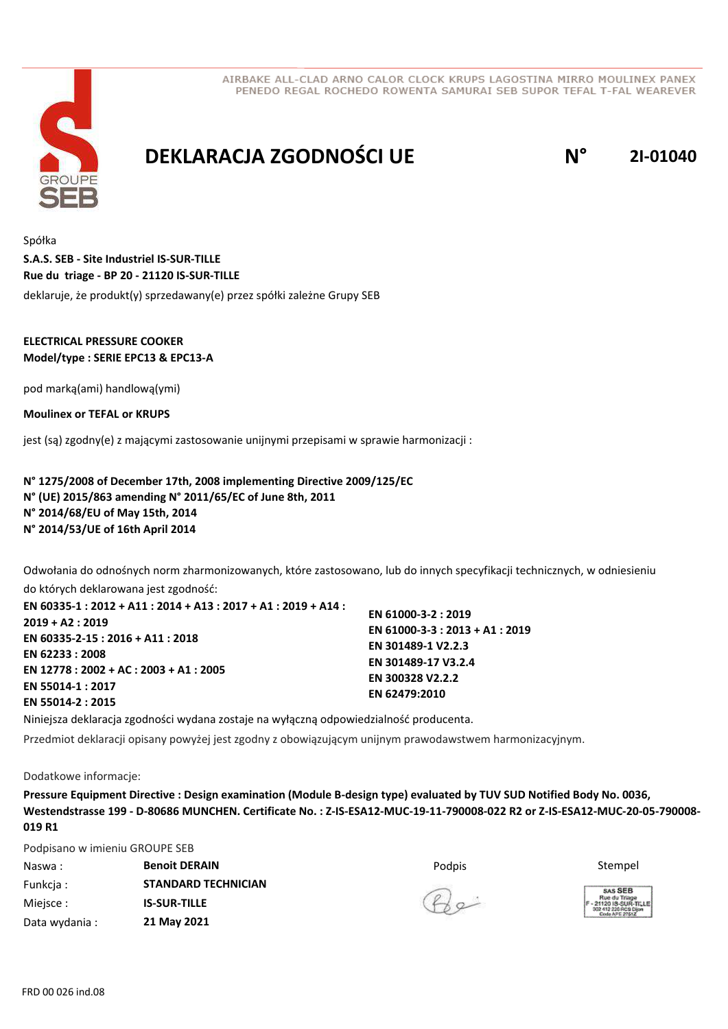

# **DEKLARACJA ZGODNOŚCI UE N° 2I-01040**

Spółka deklaruje, że produkt(y) sprzedawany(e) przez spółki zależne Grupy SEB **S.A.S. SEB - Site Industriel IS-SUR-TILLE Rue du triage - BP 20 - 21120 IS-SUR-TILLE**

### **ELECTRICAL PRESSURE COOKER Model/type : SERIE EPC13 & EPC13-A**

pod marką(ami) handlową(ymi)

**Moulinex or TEFAL or KRUPS**

jest (są) zgodny(e) z mającymi zastosowanie unijnymi przepisami w sprawie harmonizacji :

**N° 1275/2008 of December 17th, 2008 implementing Directive 2009/125/EC N° (UE) 2015/863 amending N° 2011/65/EC of June 8th, 2011 N° 2014/68/EU of May 15th, 2014 N° 2014/53/UE of 16th April 2014**

Odwołania do odnośnych norm zharmonizowanych, które zastosowano, lub do innych specyfikacji technicznych, w odniesieniu

do których deklarowana jest zgodność: **EN 60335-1 : 2012 + A11 : 2014 + A13 : 2017 + A1 : 2019 + A14 : 2019 + A2 : 2019 EN 60335-2-15 : 2016 + A11 : 2018 EN 62233 : 2008 EN 12778 : 2002 + AC : 2003 + A1 : 2005 EN 55014-1 : 2017 EN 55014-2 : 2015**

**EN 61000-3-2 : 2019 EN 61000-3-3 : 2013 + A1 : 2019 EN 301489-1 V2.2.3 EN 301489-17 V3.2.4 EN 300328 V2.2.2 EN 62479:2010**

Niniejsza deklaracja zgodności wydana zostaje na wyłączną odpowiedzialność producenta.

Przedmiot deklaracji opisany powyżej jest zgodny z obowiązującym unijnym prawodawstwem harmonizacyjnym.

Dodatkowe informacje:

**Pressure Equipment Directive : Design examination (Module B-design type) evaluated by TUV SUD Notified Body No. 0036, Westendstrasse 199 - D-80686 MUNCHEN. Certificate No. : Z-IS-ESA12-MUC-19-11-790008-022 R2 or Z-IS-ESA12-MUC-20-05-790008- 019 R1**

Podpisano w imieniu GROUPE SEB

| Naswa:         | <b>Benoit DERAIN</b>       | Podpis       | Stempel                                                   |
|----------------|----------------------------|--------------|-----------------------------------------------------------|
| Funkcia:       | <b>STANDARD TECHNICIAN</b> |              | SAS SEB                                                   |
| Miejsce :      | <b>IS-SUR-TILLE</b>        | $Q_{\alpha}$ | Rue du Triage<br>F - 21120 IS-SUR-T<br>302 412 226 RCS DE |
| Data wydania : | 21 May 2021                |              | Code APE 2761Z                                            |



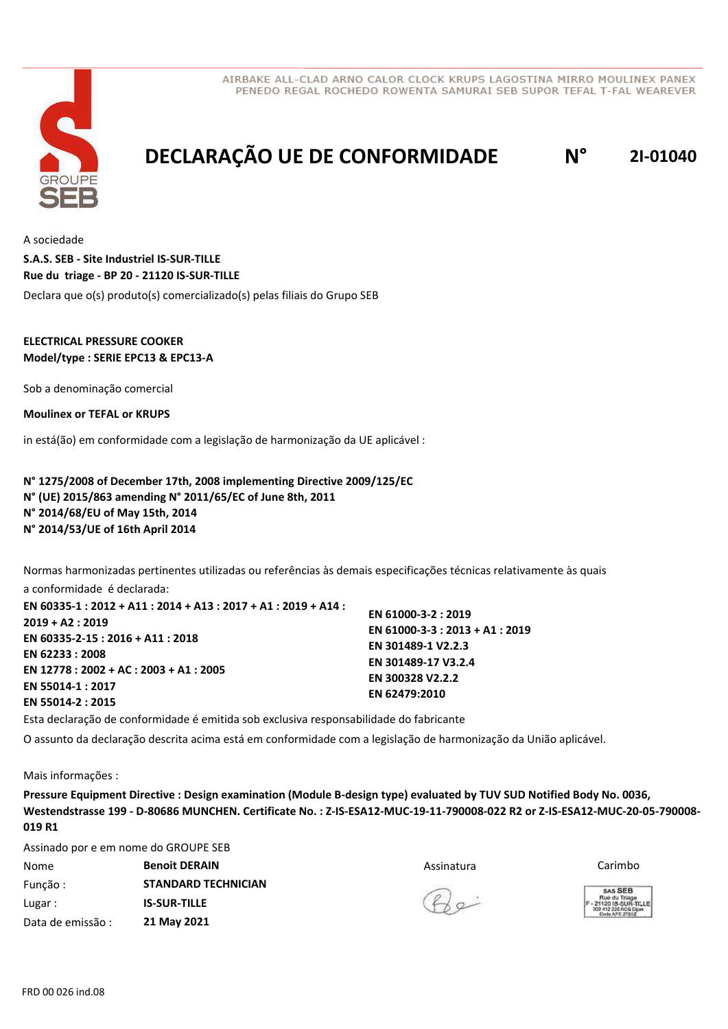



# **DECLARAÇÃO UE DE CONFORMIDADE N° 2I-01040**

A sociedade Declara que o(s) produto(s) comercializado(s) pelas filiais do Grupo SEB **S.A.S. SEB - Site Industriel IS-SUR-TILLE Rue du triage - BP 20 - 21120 IS-SUR-TILLE**

#### **ELECTRICAL PRESSURE COOKER Model/type : SERIE EPC13 & EPC13-A**

Sob a denominação comercial

**Moulinex or TEFAL or KRUPS**

in está(ão) em conformidade com a legislação de harmonização da UE aplicável :

**N° 1275/2008 of December 17th, 2008 implementing Directive 2009/125/EC N° (UE) 2015/863 amending N° 2011/65/EC of June 8th, 2011 N° 2014/68/EU of May 15th, 2014 N° 2014/53/UE of 16th April 2014**

Normas harmonizadas pertinentes utilizadas ou referências às demais especificações técnicas relativamente às quais

a conformidade é declarada: **EN 60335-1 : 2012 + A11 : 2014 + A13 : 2017 + A1 : 2019 + A14 : 2019 + A2 : 2019 EN 60335-2-15 : 2016 + A11 : 2018 EN 62233 : 2008 EN 12778 : 2002 + AC : 2003 + A1 : 2005 EN 55014-1 : 2017 EN 55014-2 : 2015**

**EN 61000-3-2 : 2019 EN 61000-3-3 : 2013 + A1 : 2019 EN 301489-1 V2.2.3 EN 301489-17 V3.2.4 EN 300328 V2.2.2 EN 62479:2010**

Esta declaração de conformidade é emitida sob exclusiva responsabilidade do fabricante

O assunto da declaração descrita acima está em conformidade com a legislação de harmonização da União aplicável.

Mais informações :

**Pressure Equipment Directive : Design examination (Module B-design type) evaluated by TUV SUD Notified Body No. 0036, Westendstrasse 199 - D-80686 MUNCHEN. Certificate No. : Z-IS-ESA12-MUC-19-11-790008-022 R2 or Z-IS-ESA12-MUC-20-05-790008- 019 R1**

Assinado por e em nome do GROUPE SEB

| Nome              | <b>Benoit DERAIN</b>       | Assinatura | Carimbo                                                 |
|-------------------|----------------------------|------------|---------------------------------------------------------|
| Função:           | <b>STANDARD TECHNICIAN</b> |            | SAS SEB                                                 |
| Lugar:            | <b>IS-SUR-TILLE</b>        | $(\ell)$   | Rue du Triage<br>1-21120 IS-SUR-T<br>302 412 226 RCS Di |
| Data de emissão : | 21 May 2021                |            | Code APE 2761Z                                          |



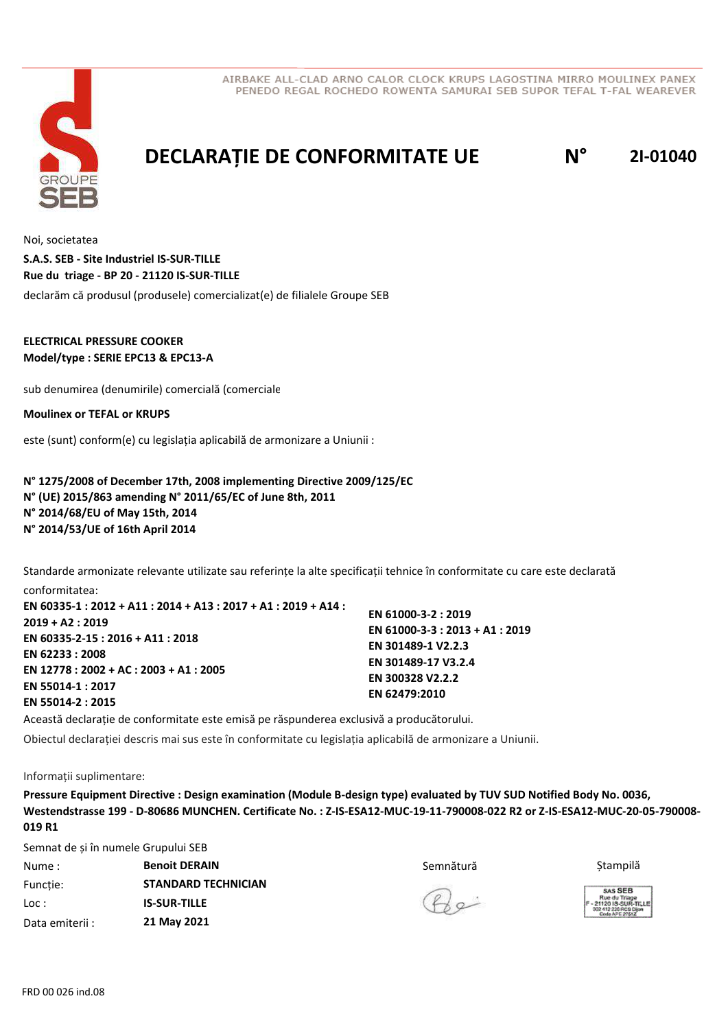



# **DECLARAȚIE DE CONFORMITATE UE N° 2I-01040**

Noi, societatea declarăm că produsul (produsele) comercializat(e) de filialele Groupe SEB **S.A.S. SEB - Site Industriel IS-SUR-TILLE Rue du triage - BP 20 - 21120 IS-SUR-TILLE**

#### **ELECTRICAL PRESSURE COOKER Model/type : SERIE EPC13 & EPC13-A**

sub denumirea (denumirile) comercială (comerciale)

#### **Moulinex or TEFAL or KRUPS**

este (sunt) conform(e) cu legislația aplicabilă de armonizare a Uniunii :

**N° 1275/2008 of December 17th, 2008 implementing Directive 2009/125/EC N° (UE) 2015/863 amending N° 2011/65/EC of June 8th, 2011 N° 2014/68/EU of May 15th, 2014 N° 2014/53/UE of 16th April 2014**

Standarde armonizate relevante utilizate sau referințe la alte specificații tehnice în conformitate cu care este declarată conformitatea:

| EN 60335-1 : 2012 + A11 : 2014 + A13 : 2017 + A1 : 2019 + A14 : |                                 |
|-----------------------------------------------------------------|---------------------------------|
| 2019 + A2 : 2019                                                | EN 61000-3-2: 2019              |
|                                                                 | EN 61000-3-3 : 2013 + A1 : 2019 |
| EN 60335-2-15 : 2016 + A11 : 2018                               | EN 301489-1 V2.2.3              |
| EN 62233 : 2008                                                 |                                 |
| EN 12778 : 2002 + AC : 2003 + A1 : 2005                         | EN 301489-17 V3.2.4             |
| EN 55014-1 : 2017                                               | EN 300328 V2.2.2                |
|                                                                 | EN 62479:2010                   |
| EN 55014-2 : 2015                                               |                                 |

Această declarație de conformitate este emisă pe răspunderea exclusivă a producătorului.

Obiectul declarației descris mai sus este în conformitate cu legislația aplicabilă de armonizare a Uniunii.

#### Informații suplimentare:

**Pressure Equipment Directive : Design examination (Module B-design type) evaluated by TUV SUD Notified Body No. 0036, Westendstrasse 199 - D-80686 MUNCHEN. Certificate No. : Z-IS-ESA12-MUC-19-11-790008-022 R2 or Z-IS-ESA12-MUC-20-05-790008- 019 R1**

Semnat de și în numele Grupului SEB

| Nume:           | <b>Benoit DERAIN</b>       | Semnătură    | Stampilă                                                |
|-----------------|----------------------------|--------------|---------------------------------------------------------|
| Functie:        | <b>STANDARD TECHNICIAN</b> |              | SAS SEB                                                 |
| Loc:            | <b>IS-SUR-TILLE</b>        | $Q_{\alpha}$ | Rue du Triage<br>21120 IS-SUR-TI<br>302 412 226 RCS Die |
| Data emiterii : | 21 May 2021                |              |                                                         |



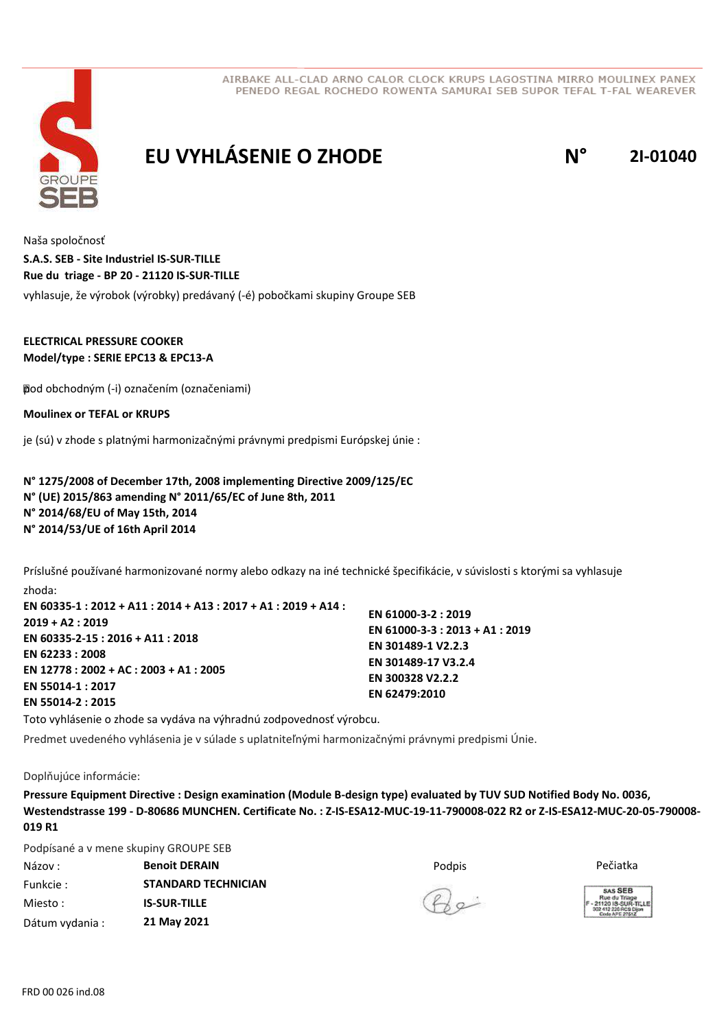



# **EU VYHLÁSENIE O ZHODE N° 2I-01040**

Naša spoločnosť vyhlasuje, že výrobok (výrobky) predávaný (-é) pobočkami skupiny Groupe SEB **S.A.S. SEB - Site Industriel IS-SUR-TILLE Rue du triage - BP 20 - 21120 IS-SUR-TILLE**

### **ELECTRICAL PRESSURE COOKER Model/type : SERIE EPC13 & EPC13-A**

 pod obchodným (-i) označením (označeniami)

**Moulinex or TEFAL or KRUPS**

je (sú) v zhode s platnými harmonizačnými právnymi predpismi Európskej únie :

**N° 1275/2008 of December 17th, 2008 implementing Directive 2009/125/EC N° (UE) 2015/863 amending N° 2011/65/EC of June 8th, 2011 N° 2014/68/EU of May 15th, 2014 N° 2014/53/UE of 16th April 2014**

Príslušné používané harmonizované normy alebo odkazy na iné technické špecifikácie, v súvislosti s ktorými sa vyhlasuje zhoda:

| EN 60335-1 : 2012 + A11 : 2014 + A13 : 2017 + A1 : 2019 + A14 : |                                 |
|-----------------------------------------------------------------|---------------------------------|
|                                                                 | EN 61000-3-2: 2019              |
| 2019 + A2 : 2019                                                | EN 61000-3-3 : 2013 + A1 : 2019 |
| EN 60335-2-15 : 2016 + A11 : 2018                               | EN 301489-1 V2.2.3              |
| EN 62233:2008                                                   |                                 |
| EN 12778 : 2002 + AC : 2003 + A1 : 2005                         | EN 301489-17 V3.2.4             |
| EN 55014-1 : 2017                                               | EN 300328 V2.2.2                |
|                                                                 | EN 62479:2010                   |
| EN 55014-2 : 2015                                               |                                 |

Toto vyhlásenie o zhode sa vydáva na výhradnú zodpovednosť výrobcu.

Predmet uvedeného vyhlásenia je v súlade s uplatniteľnými harmonizačnými právnymi predpismi Únie.

Doplňujúce informácie:

**Pressure Equipment Directive : Design examination (Module B-design type) evaluated by TUV SUD Notified Body No. 0036, Westendstrasse 199 - D-80686 MUNCHEN. Certificate No. : Z-IS-ESA12-MUC-19-11-790008-022 R2 or Z-IS-ESA12-MUC-20-05-790008- 019 R1**

Podpísané a v mene skupiny GROUPE SEB

| Názov :         | <b>Benoit DERAIN</b>       | Podpis | Pečiatka                                                  |
|-----------------|----------------------------|--------|-----------------------------------------------------------|
| Funkcie :       | <b>STANDARD TECHNICIAN</b> |        | SAS SEB                                                   |
| Miesto :        | <b>IS-SUR-TILLE</b>        | (A)    | Rue du Triage<br>21120 IS-SUR-TI -<br>302 412 226 RCS Die |
| Dátum vydania : | 21 May 2021                |        |                                                           |



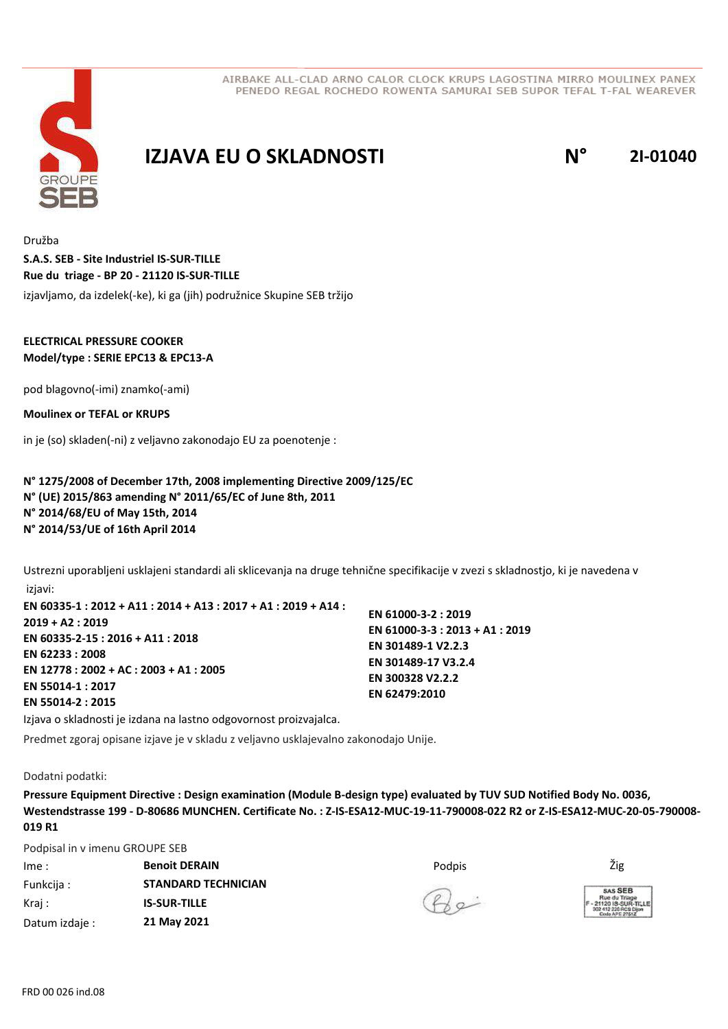

## **IZJAVA EU O SKLADNOSTI N° 2I-01040**

Družba izjavljamo, da izdelek(-ke), ki ga (jih) podružnice Skupine SEB tržijo **S.A.S. SEB - Site Industriel IS-SUR-TILLE Rue du triage - BP 20 - 21120 IS-SUR-TILLE**

### **ELECTRICAL PRESSURE COOKER Model/type : SERIE EPC13 & EPC13-A**

pod blagovno(-imi) znamko(-ami)

**Moulinex or TEFAL or KRUPS**

in je (so) skladen(-ni) z veljavno zakonodajo EU za poenotenje :

**N° 1275/2008 of December 17th, 2008 implementing Directive 2009/125/EC N° (UE) 2015/863 amending N° 2011/65/EC of June 8th, 2011 N° 2014/68/EU of May 15th, 2014 N° 2014/53/UE of 16th April 2014**

Ustrezni uporabljeni usklajeni standardi ali sklicevanja na druge tehnične specifikacije v zvezi s skladnostjo, ki je navedena v izjavi:

**EN 60335-1 : 2012 + A11 : 2014 + A13 : 2017 + A1 : 2019 + A14 : 2019 + A2 : 2019 EN 60335-2-15 : 2016 + A11 : 2018 EN 62233 : 2008 EN 12778 : 2002 + AC : 2003 + A1 : 2005 EN 55014-1 : 2017 EN 55014-2 : 2015 EN 61000-3-2 : 2019 EN 61000-3-3 : 2013 + A1 : 2019 EN 301489-1 V2.2.3 EN 301489-17 V3.2.4 EN 300328 V2.2.2 EN 62479:2010**

Izjava o skladnosti je izdana na lastno odgovornost proizvajalca.

Predmet zgoraj opisane izjave je v skladu z veljavno usklajevalno zakonodajo Unije.

Dodatni podatki:

**Pressure Equipment Directive : Design examination (Module B-design type) evaluated by TUV SUD Notified Body No. 0036, Westendstrasse 199 - D-80686 MUNCHEN. Certificate No. : Z-IS-ESA12-MUC-19-11-790008-022 R2 or Z-IS-ESA12-MUC-20-05-790008- 019 R1**

Podpisal in v imenu GROUPE SEB

| Ime:           | <b>Benoit DERAIN</b>       | Podpis | Žig                                                     |
|----------------|----------------------------|--------|---------------------------------------------------------|
| Funkcija:      | <b>STANDARD TECHNICIAN</b> | $40 -$ | <b>SAS SE</b><br>Rue du Tr<br>21120 18-St<br>Code APE 2 |
| Kraj :         | <b>IS-SUR-TILLE</b>        |        |                                                         |
| Datum izdaje : | 21 May 2021                |        |                                                         |

 $B_{\infty}$ 

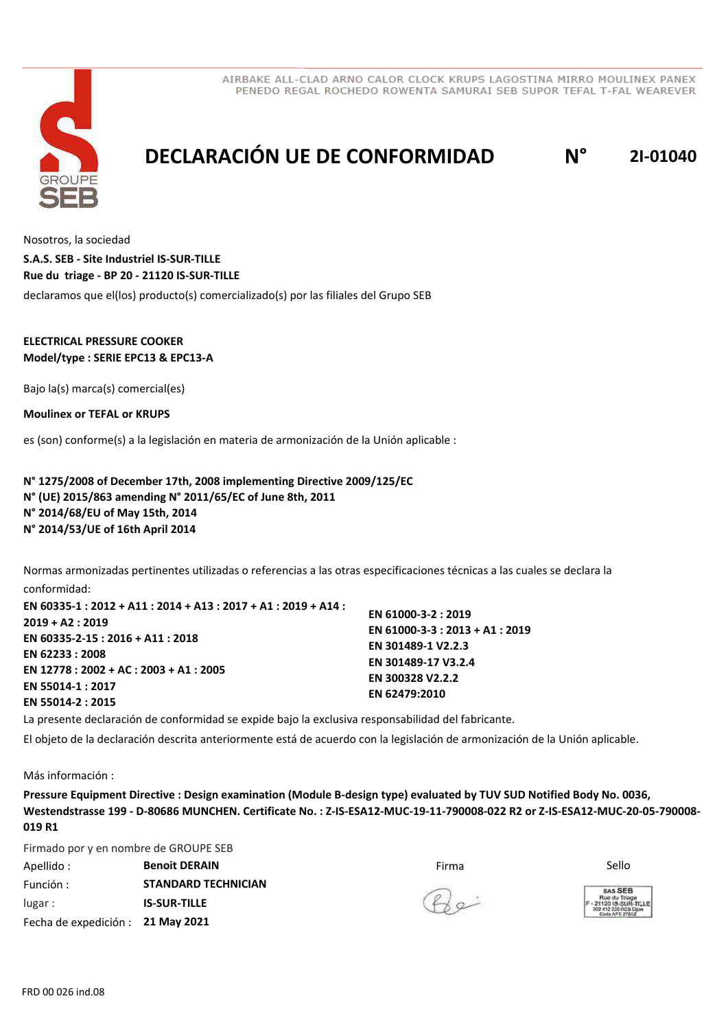



# **DECLARACIÓN UE DE CONFORMIDAD N° 2I-01040**

Nosotros, la sociedad declaramos que el(los) producto(s) comercializado(s) por las filiales del Grupo SEB **S.A.S. SEB - Site Industriel IS-SUR-TILLE Rue du triage - BP 20 - 21120 IS-SUR-TILLE**

#### **ELECTRICAL PRESSURE COOKER Model/type : SERIE EPC13 & EPC13-A**

Bajo la(s) marca(s) comercial(es)

**Moulinex or TEFAL or KRUPS**

es (son) conforme(s) a la legislación en materia de armonización de la Unión aplicable :

**N° 1275/2008 of December 17th, 2008 implementing Directive 2009/125/EC N° (UE) 2015/863 amending N° 2011/65/EC of June 8th, 2011 N° 2014/68/EU of May 15th, 2014 N° 2014/53/UE of 16th April 2014**

Normas armonizadas pertinentes utilizadas o referencias a las otras especificaciones técnicas a las cuales se declara la conformidad:

**EN 60335-1 : 2012 + A11 : 2014 + A13 : 2017 + A1 : 2019 + A14 : 2019 + A2 : 2019 EN 60335-2-15 : 2016 + A11 : 2018 EN 62233 : 2008 EN 12778 : 2002 + AC : 2003 + A1 : 2005 EN 55014-1 : 2017 EN 55014-2 : 2015**

**EN 61000-3-2 : 2019 EN 61000-3-3 : 2013 + A1 : 2019 EN 301489-1 V2.2.3 EN 301489-17 V3.2.4 EN 300328 V2.2.2 EN 62479:2010**

La presente declaración de conformidad se expide bajo la exclusiva responsabilidad del fabricante.

El objeto de la declaración descrita anteriormente está de acuerdo con la legislación de armonización de la Unión aplicable.

Más información :

**Pressure Equipment Directive : Design examination (Module B-design type) evaluated by TUV SUD Notified Body No. 0036, Westendstrasse 199 - D-80686 MUNCHEN. Certificate No. : Z-IS-ESA12-MUC-19-11-790008-022 R2 or Z-IS-ESA12-MUC-20-05-790008- 019 R1**

Firmado por y en nombre de GROUPE SEB

| Apellido :                        | <b>Benoit DERAIN</b>       | Firma        | Sello                                          |
|-----------------------------------|----------------------------|--------------|------------------------------------------------|
| Función :                         | <b>STANDARD TECHNICIAN</b> |              | <b>SAS SE</b>                                  |
| lugar:                            | <b>IS-SUR-TILLE</b>        | $R_{\infty}$ | Rue du Tria<br>$-2112018-50$<br>302 412 226 RO |
| Fecha de expedición : 21 May 2021 |                            |              | Code APE 27                                    |

 $P_{0}$ 

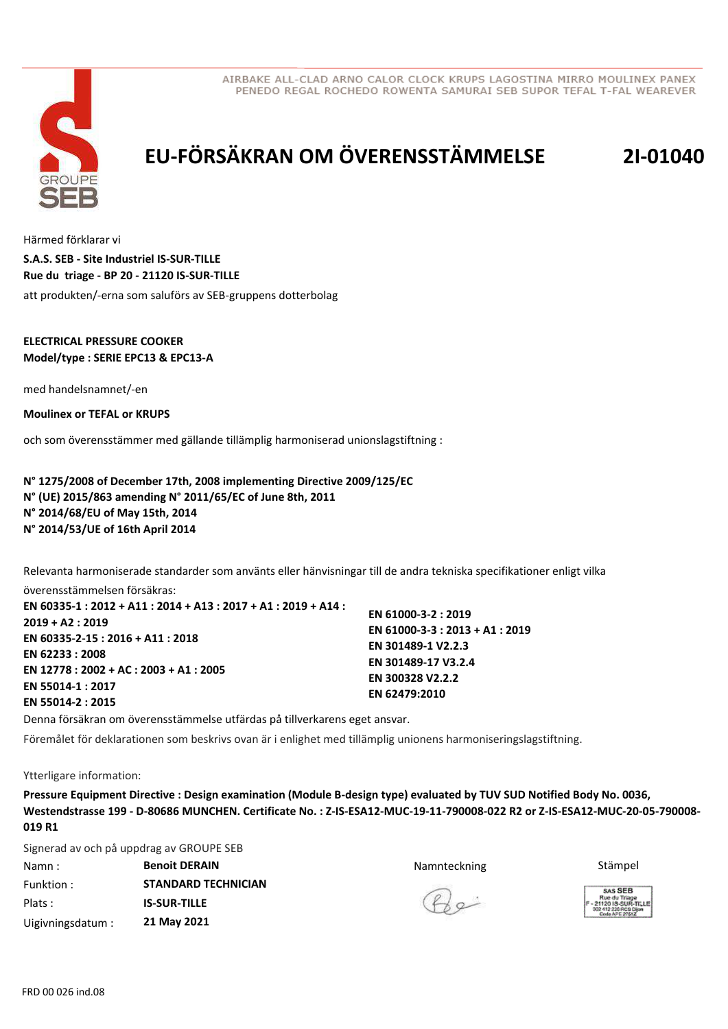



# **EU-FÖRSÄKRAN OM ÖVERENSSTÄMMELSE 2I-01040**

Härmed förklarar vi att produkten/-erna som saluförs av SEB-gruppens dotterbolag **S.A.S. SEB - Site Industriel IS-SUR-TILLE Rue du triage - BP 20 - 21120 IS-SUR-TILLE**

#### **ELECTRICAL PRESSURE COOKER Model/type : SERIE EPC13 & EPC13-A**

med handelsnamnet/-en

**Moulinex or TEFAL or KRUPS**

och som överensstämmer med gällande tillämplig harmoniserad unionslagstiftning :

**N° 1275/2008 of December 17th, 2008 implementing Directive 2009/125/EC N° (UE) 2015/863 amending N° 2011/65/EC of June 8th, 2011 N° 2014/68/EU of May 15th, 2014 N° 2014/53/UE of 16th April 2014**

Relevanta harmoniserade standarder som använts eller hänvisningar till de andra tekniska specifikationer enligt vilka överensstämmelsen försäkras:

**EN 60335-1 : 2012 + A11 : 2014 + A13 : 2017 + A1 : 2019 + A14 : 2019 + A2 : 2019 EN 60335-2-15 : 2016 + A11 : 2018 EN 62233 : 2008 EN 12778 : 2002 + AC : 2003 + A1 : 2005 EN 55014-1 : 2017 EN 55014-2 : 2015 EN 61000-3-2 : 2019 EN 61000-3-3 : 2013 + A1 : 2019 EN 301489-1 V2.2.3 EN 301489-17 V3.2.4 EN 300328 V2.2.2 EN 62479:2010**

Denna försäkran om överensstämmelse utfärdas på tillverkarens eget ansvar.

Föremålet för deklarationen som beskrivs ovan är i enlighet med tillämplig unionens harmoniseringslagstiftning.

Ytterligare information:

**Pressure Equipment Directive : Design examination (Module B-design type) evaluated by TUV SUD Notified Body No. 0036, Westendstrasse 199 - D-80686 MUNCHEN. Certificate No. : Z-IS-ESA12-MUC-19-11-790008-022 R2 or Z-IS-ESA12-MUC-20-05-790008- 019 R1**

Signerad av och på uppdrag av GROUPE SEB

Namn : **Benoit DERAIN Stämpel Benoit DERAIN Stämpel Stämpel Stämpel Stämpel** Funktion : Plats : Uigivningsdatum : **STANDARD TECHNICIAN IS-SUR-TILLE 21 May 2021**